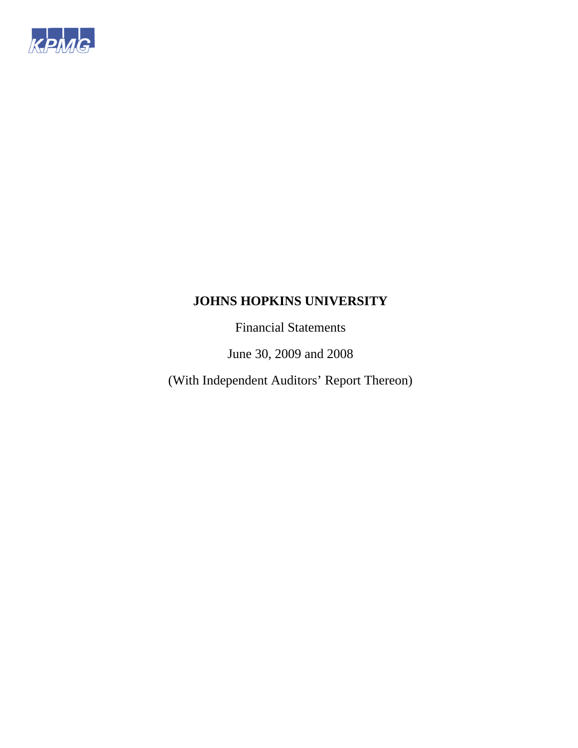

Financial Statements

June 30, 2009 and 2008

(With Independent Auditors' Report Thereon)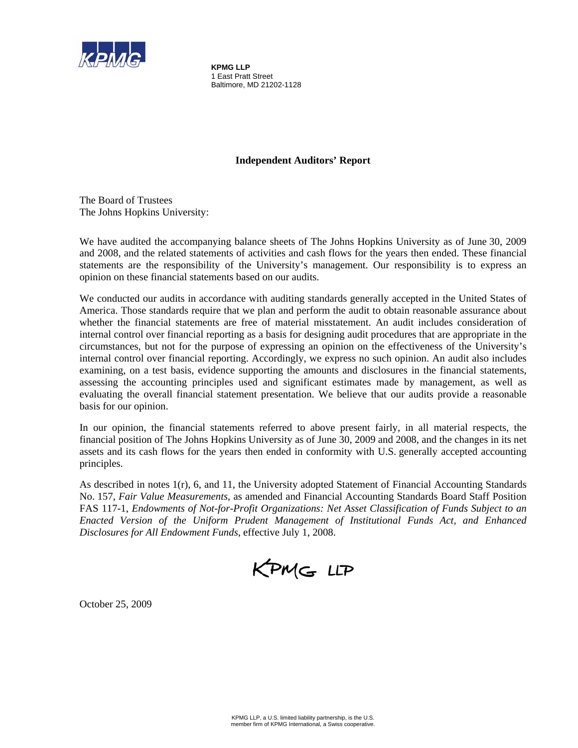

**KPMG LLP**  1 East Pratt Street Baltimore, MD 21202-1128

## **Independent Auditors' Report**

The Board of Trustees The Johns Hopkins University:

We have audited the accompanying balance sheets of The Johns Hopkins University as of June 30, 2009 and 2008, and the related statements of activities and cash flows for the years then ended. These financial statements are the responsibility of the University's management. Our responsibility is to express an opinion on these financial statements based on our audits.

We conducted our audits in accordance with auditing standards generally accepted in the United States of America. Those standards require that we plan and perform the audit to obtain reasonable assurance about whether the financial statements are free of material misstatement. An audit includes consideration of internal control over financial reporting as a basis for designing audit procedures that are appropriate in the circumstances, but not for the purpose of expressing an opinion on the effectiveness of the University's internal control over financial reporting. Accordingly, we express no such opinion. An audit also includes examining, on a test basis, evidence supporting the amounts and disclosures in the financial statements, assessing the accounting principles used and significant estimates made by management, as well as evaluating the overall financial statement presentation. We believe that our audits provide a reasonable basis for our opinion.

In our opinion, the financial statements referred to above present fairly, in all material respects, the financial position of The Johns Hopkins University as of June 30, 2009 and 2008, and the changes in its net assets and its cash flows for the years then ended in conformity with U.S. generally accepted accounting principles.

As described in notes 1(r), 6, and 11, the University adopted Statement of Financial Accounting Standards No. 157, *Fair Value Measurements*, as amended and Financial Accounting Standards Board Staff Position FAS 117-1, *Endowments of Not-for-Profit Organizations: Net Asset Classification of Funds Subject to an Enacted Version of the Uniform Prudent Management of Institutional Funds Act, and Enhanced Disclosures for All Endowment Funds*, effective July 1, 2008.

KPMG LLP

October 25, 2009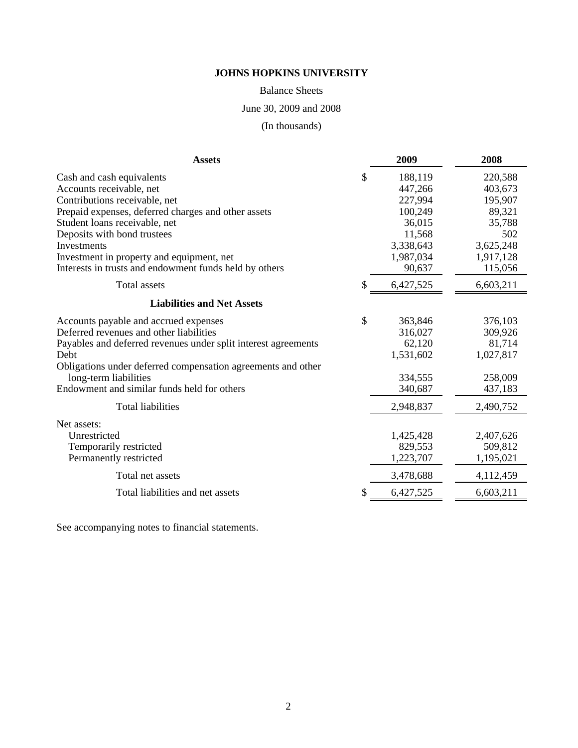Balance Sheets

June 30, 2009 and 2008

(In thousands)

| <b>Assets</b>                                                                                       | 2009              | 2008                 |
|-----------------------------------------------------------------------------------------------------|-------------------|----------------------|
| Cash and cash equivalents                                                                           | \$<br>188,119     | 220,588              |
| Accounts receivable, net                                                                            | 447,266           | 403,673              |
| Contributions receivable, net                                                                       | 227,994           | 195,907              |
| Prepaid expenses, deferred charges and other assets                                                 | 100,249<br>36,015 | 89,321               |
| Student loans receivable, net                                                                       | 11,568            | 35,788<br>502        |
| Deposits with bond trustees<br>Investments                                                          | 3,338,643         |                      |
|                                                                                                     | 1,987,034         | 3,625,248            |
| Investment in property and equipment, net<br>Interests in trusts and endowment funds held by others | 90,637            | 1,917,128<br>115,056 |
|                                                                                                     |                   |                      |
| <b>Total assets</b>                                                                                 | \$<br>6,427,525   | 6,603,211            |
| <b>Liabilities and Net Assets</b>                                                                   |                   |                      |
| Accounts payable and accrued expenses                                                               | \$<br>363,846     | 376,103              |
| Deferred revenues and other liabilities                                                             | 316,027           | 309,926              |
| Payables and deferred revenues under split interest agreements                                      | 62,120            | 81,714               |
| Debt                                                                                                | 1,531,602         | 1,027,817            |
| Obligations under deferred compensation agreements and other                                        |                   |                      |
| long-term liabilities                                                                               | 334,555           | 258,009              |
| Endowment and similar funds held for others                                                         | 340,687           | 437,183              |
| <b>Total liabilities</b>                                                                            | 2,948,837         | 2,490,752            |
| Net assets:                                                                                         |                   |                      |
| Unrestricted                                                                                        | 1,425,428         | 2,407,626            |
| Temporarily restricted                                                                              | 829,553           | 509,812              |
| Permanently restricted                                                                              | 1,223,707         | 1,195,021            |
| Total net assets                                                                                    | 3,478,688         | 4,112,459            |
| Total liabilities and net assets                                                                    | \$<br>6,427,525   | 6,603,211            |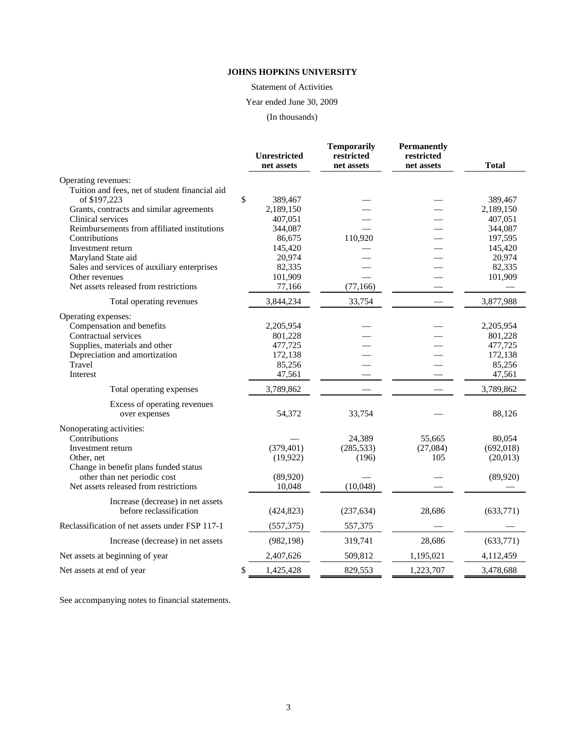Statement of Activities

## Year ended June 30, 2009

(In thousands)

|                                                         | <b>Unrestricted</b> | <b>Temporarily</b><br>restricted | <b>Permanently</b><br>restricted |              |
|---------------------------------------------------------|---------------------|----------------------------------|----------------------------------|--------------|
|                                                         | net assets          | net assets                       | net assets                       | <b>Total</b> |
| Operating revenues:                                     |                     |                                  |                                  |              |
| Tuition and fees, net of student financial aid          |                     |                                  |                                  |              |
| of \$197,223                                            | \$<br>389,467       |                                  |                                  | 389,467      |
| Grants, contracts and similar agreements                | 2,189,150           |                                  |                                  | 2,189,150    |
| Clinical services                                       | 407,051             |                                  |                                  | 407,051      |
| Reimbursements from affiliated institutions             | 344,087             |                                  |                                  | 344,087      |
| Contributions                                           | 86,675              | 110,920                          |                                  | 197,595      |
| Investment return                                       | 145,420             |                                  |                                  | 145,420      |
| Maryland State aid                                      | 20,974              |                                  |                                  | 20,974       |
| Sales and services of auxiliary enterprises             | 82,335              |                                  |                                  | 82,335       |
| Other revenues<br>Net assets released from restrictions | 101,909             |                                  |                                  | 101,909      |
|                                                         | 77,166              | (77, 166)                        |                                  |              |
| Total operating revenues                                | 3,844,234           | 33,754                           |                                  | 3,877,988    |
| Operating expenses:                                     |                     |                                  |                                  |              |
| Compensation and benefits                               | 2,205,954           |                                  |                                  | 2,205,954    |
| Contractual services                                    | 801,228             |                                  |                                  | 801,228      |
| Supplies, materials and other                           | 477,725             |                                  |                                  | 477,725      |
| Depreciation and amortization                           | 172,138             |                                  |                                  | 172,138      |
| Travel                                                  | 85,256              |                                  |                                  | 85,256       |
| Interest                                                | 47,561              |                                  |                                  | 47,561       |
| Total operating expenses                                | 3,789,862           |                                  |                                  | 3,789,862    |
| Excess of operating revenues                            |                     |                                  |                                  |              |
| over expenses                                           | 54,372              | 33,754                           |                                  | 88,126       |
| Nonoperating activities:                                |                     |                                  |                                  |              |
| Contributions                                           |                     | 24,389                           | 55,665                           | 80,054       |
| Investment return                                       | (379, 401)          | (285, 533)                       | (27,084)                         | (692, 018)   |
| Other, net                                              | (19, 922)           | (196)                            | 105                              | (20,013)     |
| Change in benefit plans funded status                   |                     |                                  |                                  |              |
| other than net periodic cost                            | (89, 920)           |                                  |                                  | (89,920)     |
| Net assets released from restrictions                   | 10,048              | (10,048)                         |                                  |              |
| Increase (decrease) in net assets                       |                     |                                  |                                  |              |
| before reclassification                                 | (424, 823)          | (237, 634)                       | 28,686                           | (633,771)    |
| Reclassification of net assets under FSP 117-1          | (557, 375)          | 557,375                          |                                  |              |
| Increase (decrease) in net assets                       | (982, 198)          | 319,741                          | 28,686                           | (633,771)    |
| Net assets at beginning of year                         | 2,407,626           | 509,812                          | 1,195,021                        | 4,112,459    |
| Net assets at end of year.                              | \$<br>1,425,428     | 829,553                          | 1,223,707                        | 3,478,688    |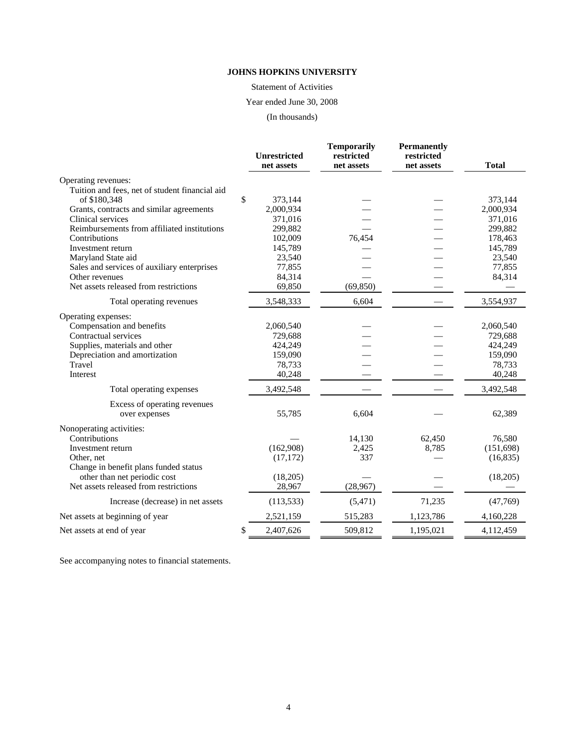Statement of Activities

## Year ended June 30, 2008

(In thousands)

|                                                | <b>Unrestricted</b><br>net assets | <b>Temporarily</b><br>restricted<br>net assets | <b>Permanently</b><br>restricted<br>net assets | <b>Total</b> |
|------------------------------------------------|-----------------------------------|------------------------------------------------|------------------------------------------------|--------------|
| Operating revenues:                            |                                   |                                                |                                                |              |
| Tuition and fees, net of student financial aid |                                   |                                                |                                                |              |
| of \$180,348                                   | \$<br>373,144                     |                                                |                                                | 373,144      |
| Grants, contracts and similar agreements       | 2,000,934                         |                                                |                                                | 2,000,934    |
| Clinical services                              | 371,016                           |                                                |                                                | 371,016      |
| Reimbursements from affiliated institutions    | 299,882                           |                                                |                                                | 299,882      |
| Contributions                                  | 102,009                           | 76,454                                         |                                                | 178,463      |
| Investment return                              | 145,789                           |                                                |                                                | 145,789      |
| Maryland State aid                             | 23,540                            |                                                |                                                | 23,540       |
| Sales and services of auxiliary enterprises    | 77,855                            |                                                |                                                | 77,855       |
| Other revenues                                 | 84,314                            |                                                |                                                | 84,314       |
| Net assets released from restrictions          | 69,850                            | (69, 850)                                      |                                                |              |
| Total operating revenues                       | 3,548,333                         | 6,604                                          |                                                | 3,554,937    |
| Operating expenses:                            |                                   |                                                |                                                |              |
| Compensation and benefits                      | 2,060,540                         |                                                |                                                | 2,060,540    |
| Contractual services                           | 729,688                           |                                                |                                                | 729,688      |
| Supplies, materials and other                  | 424,249                           |                                                |                                                | 424,249      |
| Depreciation and amortization                  | 159,090                           |                                                |                                                | 159,090      |
| Travel                                         | 78,733                            |                                                |                                                | 78,733       |
| Interest                                       | 40,248                            |                                                |                                                | 40,248       |
| Total operating expenses                       | 3,492,548                         |                                                |                                                | 3,492,548    |
| Excess of operating revenues                   |                                   |                                                |                                                |              |
| over expenses                                  | 55,785                            | 6,604                                          |                                                | 62,389       |
| Nonoperating activities:                       |                                   |                                                |                                                |              |
| Contributions                                  |                                   | 14,130                                         | 62,450                                         | 76,580       |
| Investment return                              | (162,908)                         | 2,425                                          | 8,785                                          | (151,698)    |
| Other, net                                     | (17, 172)                         | 337                                            |                                                | (16, 835)    |
| Change in benefit plans funded status          |                                   |                                                |                                                |              |
| other than net periodic cost                   | (18,205)                          |                                                |                                                | (18,205)     |
| Net assets released from restrictions          | 28,967                            | (28,967)                                       |                                                |              |
| Increase (decrease) in net assets              | (113, 533)                        | (5,471)                                        | 71,235                                         | (47,769)     |
| Net assets at beginning of year                | 2,521,159                         | 515,283                                        | 1,123,786                                      | 4,160,228    |
| Net assets at end of year.                     | \$<br>2,407,626                   | 509,812                                        | 1,195,021                                      | 4,112,459    |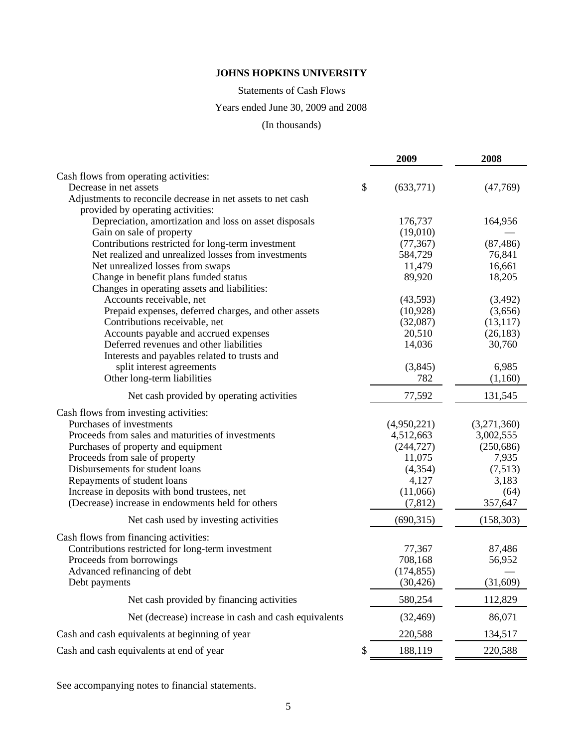Statements of Cash Flows

## Years ended June 30, 2009 and 2008

## (In thousands)

|                                                             | 2009            | 2008        |
|-------------------------------------------------------------|-----------------|-------------|
| Cash flows from operating activities:                       |                 |             |
| Decrease in net assets                                      | \$<br>(633,771) | (47,769)    |
| Adjustments to reconcile decrease in net assets to net cash |                 |             |
| provided by operating activities:                           |                 |             |
| Depreciation, amortization and loss on asset disposals      | 176,737         | 164,956     |
| Gain on sale of property                                    | (19,010)        |             |
| Contributions restricted for long-term investment           | (77, 367)       | (87, 486)   |
| Net realized and unrealized losses from investments         | 584,729         | 76,841      |
| Net unrealized losses from swaps                            | 11,479          | 16,661      |
| Change in benefit plans funded status                       | 89,920          | 18,205      |
| Changes in operating assets and liabilities:                |                 |             |
| Accounts receivable, net                                    | (43,593)        | (3,492)     |
| Prepaid expenses, deferred charges, and other assets        | (10, 928)       | (3,656)     |
| Contributions receivable, net                               | (32,087)        | (13, 117)   |
| Accounts payable and accrued expenses                       | 20,510          | (26, 183)   |
| Deferred revenues and other liabilities                     | 14,036          | 30,760      |
| Interests and payables related to trusts and                |                 |             |
| split interest agreements                                   | (3,845)         | 6,985       |
| Other long-term liabilities                                 | 782             | (1,160)     |
| Net cash provided by operating activities                   | 77,592          | 131,545     |
| Cash flows from investing activities:                       |                 |             |
| Purchases of investments                                    | (4,950,221)     | (3,271,360) |
| Proceeds from sales and maturities of investments           | 4,512,663       | 3,002,555   |
| Purchases of property and equipment                         | (244, 727)      | (250, 686)  |
| Proceeds from sale of property                              | 11,075          | 7,935       |
| Disbursements for student loans                             | (4, 354)        | (7,513)     |
| Repayments of student loans                                 | 4,127           | 3,183       |
| Increase in deposits with bond trustees, net                | (11,066)        | (64)        |
| (Decrease) increase in endowments held for others           | (7, 812)        | 357,647     |
| Net cash used by investing activities                       | (690, 315)      | (158, 303)  |
| Cash flows from financing activities:                       |                 |             |
| Contributions restricted for long-term investment           | 77,367          | 87,486      |
| Proceeds from borrowings                                    | 708,168         | 56,952      |
| Advanced refinancing of debt                                | (174, 855)      |             |
| Debt payments                                               | (30, 426)       | (31,609)    |
| Net cash provided by financing activities                   | 580,254         | 112,829     |
| Net (decrease) increase in cash and cash equivalents        | (32, 469)       | 86,071      |
| Cash and cash equivalents at beginning of year              | 220,588         | 134,517     |
| Cash and cash equivalents at end of year                    | 188,119<br>S    | 220,588     |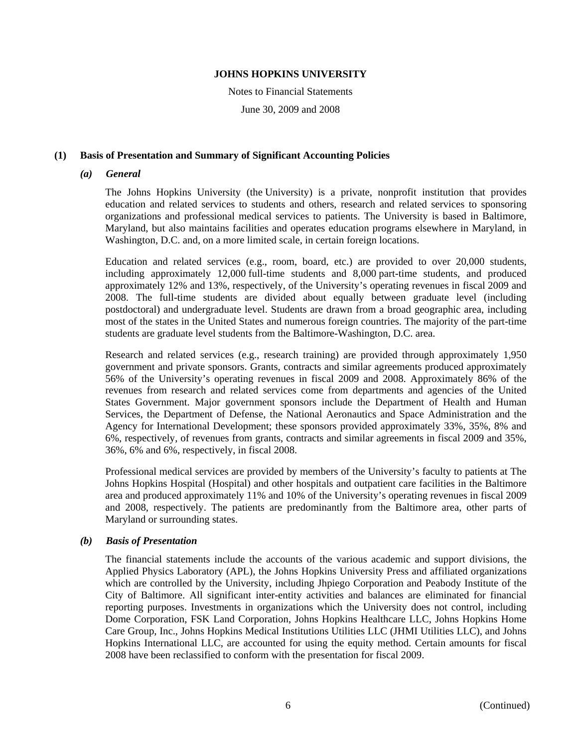Notes to Financial Statements

June 30, 2009 and 2008

## **(1) Basis of Presentation and Summary of Significant Accounting Policies**

#### *(a) General*

The Johns Hopkins University (the University) is a private, nonprofit institution that provides education and related services to students and others, research and related services to sponsoring organizations and professional medical services to patients. The University is based in Baltimore, Maryland, but also maintains facilities and operates education programs elsewhere in Maryland, in Washington, D.C. and, on a more limited scale, in certain foreign locations.

Education and related services (e.g., room, board, etc.) are provided to over 20,000 students, including approximately 12,000 full-time students and 8,000 part-time students, and produced approximately 12% and 13%, respectively, of the University's operating revenues in fiscal 2009 and 2008. The full-time students are divided about equally between graduate level (including postdoctoral) and undergraduate level. Students are drawn from a broad geographic area, including most of the states in the United States and numerous foreign countries. The majority of the part-time students are graduate level students from the Baltimore-Washington, D.C. area.

Research and related services (e.g., research training) are provided through approximately 1,950 government and private sponsors. Grants, contracts and similar agreements produced approximately 56% of the University's operating revenues in fiscal 2009 and 2008. Approximately 86% of the revenues from research and related services come from departments and agencies of the United States Government. Major government sponsors include the Department of Health and Human Services, the Department of Defense, the National Aeronautics and Space Administration and the Agency for International Development; these sponsors provided approximately 33%, 35%, 8% and 6%, respectively, of revenues from grants, contracts and similar agreements in fiscal 2009 and 35%, 36%, 6% and 6%, respectively, in fiscal 2008.

Professional medical services are provided by members of the University's faculty to patients at The Johns Hopkins Hospital (Hospital) and other hospitals and outpatient care facilities in the Baltimore area and produced approximately 11% and 10% of the University's operating revenues in fiscal 2009 and 2008, respectively. The patients are predominantly from the Baltimore area, other parts of Maryland or surrounding states.

## *(b) Basis of Presentation*

The financial statements include the accounts of the various academic and support divisions, the Applied Physics Laboratory (APL), the Johns Hopkins University Press and affiliated organizations which are controlled by the University, including Jhpiego Corporation and Peabody Institute of the City of Baltimore. All significant inter-entity activities and balances are eliminated for financial reporting purposes. Investments in organizations which the University does not control, including Dome Corporation, FSK Land Corporation, Johns Hopkins Healthcare LLC, Johns Hopkins Home Care Group, Inc., Johns Hopkins Medical Institutions Utilities LLC (JHMI Utilities LLC), and Johns Hopkins International LLC, are accounted for using the equity method. Certain amounts for fiscal 2008 have been reclassified to conform with the presentation for fiscal 2009.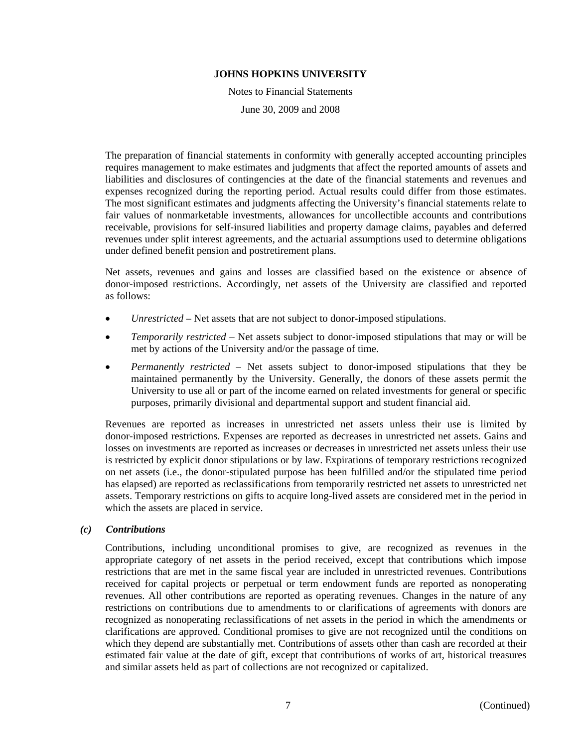Notes to Financial Statements June 30, 2009 and 2008

The preparation of financial statements in conformity with generally accepted accounting principles requires management to make estimates and judgments that affect the reported amounts of assets and liabilities and disclosures of contingencies at the date of the financial statements and revenues and expenses recognized during the reporting period. Actual results could differ from those estimates. The most significant estimates and judgments affecting the University's financial statements relate to fair values of nonmarketable investments, allowances for uncollectible accounts and contributions receivable, provisions for self-insured liabilities and property damage claims, payables and deferred revenues under split interest agreements, and the actuarial assumptions used to determine obligations under defined benefit pension and postretirement plans.

Net assets, revenues and gains and losses are classified based on the existence or absence of donor-imposed restrictions. Accordingly, net assets of the University are classified and reported as follows:

- *Unrestricted*  Net assets that are not subject to donor-imposed stipulations.
- *Temporarily restricted*  Net assets subject to donor-imposed stipulations that may or will be met by actions of the University and/or the passage of time.
- *Permanently restricted*  Net assets subject to donor-imposed stipulations that they be maintained permanently by the University. Generally, the donors of these assets permit the University to use all or part of the income earned on related investments for general or specific purposes, primarily divisional and departmental support and student financial aid.

Revenues are reported as increases in unrestricted net assets unless their use is limited by donor-imposed restrictions. Expenses are reported as decreases in unrestricted net assets. Gains and losses on investments are reported as increases or decreases in unrestricted net assets unless their use is restricted by explicit donor stipulations or by law. Expirations of temporary restrictions recognized on net assets (i.e., the donor-stipulated purpose has been fulfilled and/or the stipulated time period has elapsed) are reported as reclassifications from temporarily restricted net assets to unrestricted net assets. Temporary restrictions on gifts to acquire long-lived assets are considered met in the period in which the assets are placed in service.

## *(c) Contributions*

Contributions, including unconditional promises to give, are recognized as revenues in the appropriate category of net assets in the period received, except that contributions which impose restrictions that are met in the same fiscal year are included in unrestricted revenues. Contributions received for capital projects or perpetual or term endowment funds are reported as nonoperating revenues. All other contributions are reported as operating revenues. Changes in the nature of any restrictions on contributions due to amendments to or clarifications of agreements with donors are recognized as nonoperating reclassifications of net assets in the period in which the amendments or clarifications are approved. Conditional promises to give are not recognized until the conditions on which they depend are substantially met. Contributions of assets other than cash are recorded at their estimated fair value at the date of gift, except that contributions of works of art, historical treasures and similar assets held as part of collections are not recognized or capitalized.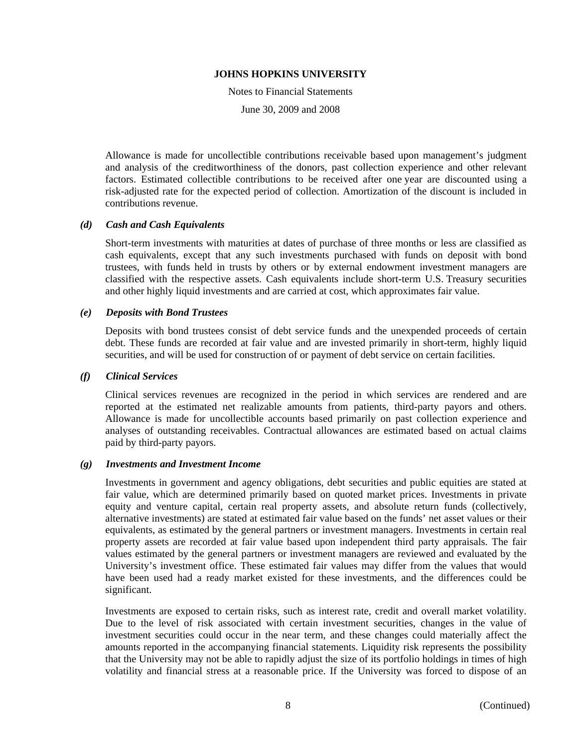Notes to Financial Statements

June 30, 2009 and 2008

Allowance is made for uncollectible contributions receivable based upon management's judgment and analysis of the creditworthiness of the donors, past collection experience and other relevant factors. Estimated collectible contributions to be received after one year are discounted using a risk-adjusted rate for the expected period of collection. Amortization of the discount is included in contributions revenue.

## *(d) Cash and Cash Equivalents*

Short-term investments with maturities at dates of purchase of three months or less are classified as cash equivalents, except that any such investments purchased with funds on deposit with bond trustees, with funds held in trusts by others or by external endowment investment managers are classified with the respective assets. Cash equivalents include short-term U.S. Treasury securities and other highly liquid investments and are carried at cost, which approximates fair value.

#### *(e) Deposits with Bond Trustees*

Deposits with bond trustees consist of debt service funds and the unexpended proceeds of certain debt. These funds are recorded at fair value and are invested primarily in short-term, highly liquid securities, and will be used for construction of or payment of debt service on certain facilities.

#### *(f) Clinical Services*

Clinical services revenues are recognized in the period in which services are rendered and are reported at the estimated net realizable amounts from patients, third-party payors and others. Allowance is made for uncollectible accounts based primarily on past collection experience and analyses of outstanding receivables. Contractual allowances are estimated based on actual claims paid by third-party payors.

#### *(g) Investments and Investment Income*

Investments in government and agency obligations, debt securities and public equities are stated at fair value, which are determined primarily based on quoted market prices. Investments in private equity and venture capital, certain real property assets, and absolute return funds (collectively, alternative investments) are stated at estimated fair value based on the funds' net asset values or their equivalents, as estimated by the general partners or investment managers. Investments in certain real property assets are recorded at fair value based upon independent third party appraisals. The fair values estimated by the general partners or investment managers are reviewed and evaluated by the University's investment office. These estimated fair values may differ from the values that would have been used had a ready market existed for these investments, and the differences could be significant.

Investments are exposed to certain risks, such as interest rate, credit and overall market volatility. Due to the level of risk associated with certain investment securities, changes in the value of investment securities could occur in the near term, and these changes could materially affect the amounts reported in the accompanying financial statements. Liquidity risk represents the possibility that the University may not be able to rapidly adjust the size of its portfolio holdings in times of high volatility and financial stress at a reasonable price. If the University was forced to dispose of an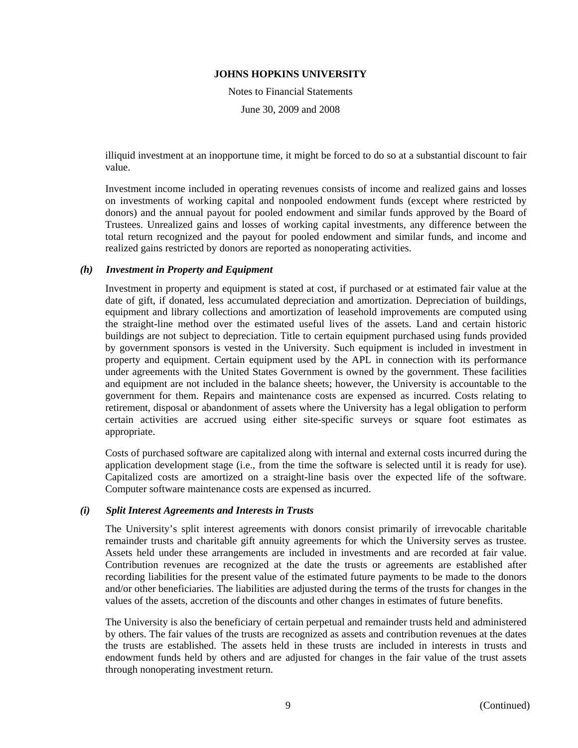Notes to Financial Statements

June 30, 2009 and 2008

illiquid investment at an inopportune time, it might be forced to do so at a substantial discount to fair value.

Investment income included in operating revenues consists of income and realized gains and losses on investments of working capital and nonpooled endowment funds (except where restricted by donors) and the annual payout for pooled endowment and similar funds approved by the Board of Trustees. Unrealized gains and losses of working capital investments, any difference between the total return recognized and the payout for pooled endowment and similar funds, and income and realized gains restricted by donors are reported as nonoperating activities.

## *(h) Investment in Property and Equipment*

Investment in property and equipment is stated at cost, if purchased or at estimated fair value at the date of gift, if donated, less accumulated depreciation and amortization. Depreciation of buildings, equipment and library collections and amortization of leasehold improvements are computed using the straight-line method over the estimated useful lives of the assets. Land and certain historic buildings are not subject to depreciation. Title to certain equipment purchased using funds provided by government sponsors is vested in the University. Such equipment is included in investment in property and equipment. Certain equipment used by the APL in connection with its performance under agreements with the United States Government is owned by the government. These facilities and equipment are not included in the balance sheets; however, the University is accountable to the government for them. Repairs and maintenance costs are expensed as incurred. Costs relating to retirement, disposal or abandonment of assets where the University has a legal obligation to perform certain activities are accrued using either site-specific surveys or square foot estimates as appropriate.

Costs of purchased software are capitalized along with internal and external costs incurred during the application development stage (i.e., from the time the software is selected until it is ready for use). Capitalized costs are amortized on a straight-line basis over the expected life of the software. Computer software maintenance costs are expensed as incurred.

#### *(i) Split Interest Agreements and Interests in Trusts*

The University's split interest agreements with donors consist primarily of irrevocable charitable remainder trusts and charitable gift annuity agreements for which the University serves as trustee. Assets held under these arrangements are included in investments and are recorded at fair value. Contribution revenues are recognized at the date the trusts or agreements are established after recording liabilities for the present value of the estimated future payments to be made to the donors and/or other beneficiaries. The liabilities are adjusted during the terms of the trusts for changes in the values of the assets, accretion of the discounts and other changes in estimates of future benefits.

The University is also the beneficiary of certain perpetual and remainder trusts held and administered by others. The fair values of the trusts are recognized as assets and contribution revenues at the dates the trusts are established. The assets held in these trusts are included in interests in trusts and endowment funds held by others and are adjusted for changes in the fair value of the trust assets through nonoperating investment return.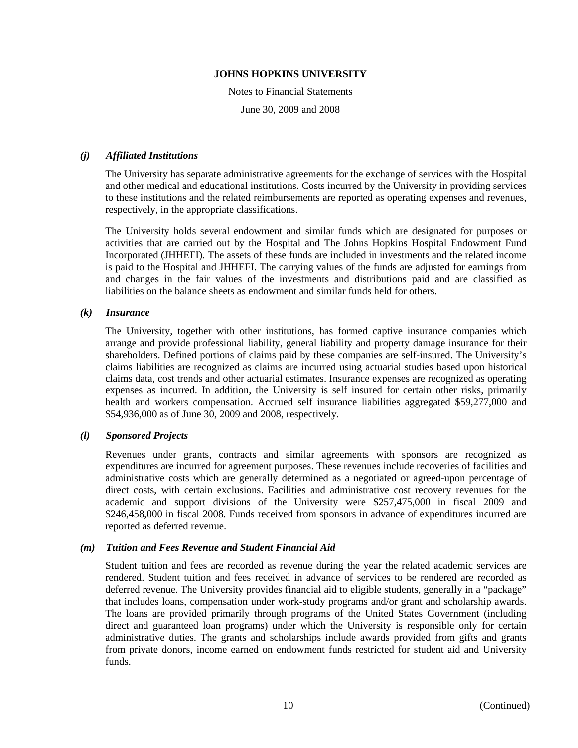Notes to Financial Statements June 30, 2009 and 2008

## *(j) Affiliated Institutions*

The University has separate administrative agreements for the exchange of services with the Hospital and other medical and educational institutions. Costs incurred by the University in providing services to these institutions and the related reimbursements are reported as operating expenses and revenues, respectively, in the appropriate classifications.

The University holds several endowment and similar funds which are designated for purposes or activities that are carried out by the Hospital and The Johns Hopkins Hospital Endowment Fund Incorporated (JHHEFI). The assets of these funds are included in investments and the related income is paid to the Hospital and JHHEFI. The carrying values of the funds are adjusted for earnings from and changes in the fair values of the investments and distributions paid and are classified as liabilities on the balance sheets as endowment and similar funds held for others.

## *(k) Insurance*

The University, together with other institutions, has formed captive insurance companies which arrange and provide professional liability, general liability and property damage insurance for their shareholders. Defined portions of claims paid by these companies are self-insured. The University's claims liabilities are recognized as claims are incurred using actuarial studies based upon historical claims data, cost trends and other actuarial estimates. Insurance expenses are recognized as operating expenses as incurred. In addition, the University is self insured for certain other risks, primarily health and workers compensation. Accrued self insurance liabilities aggregated \$59,277,000 and \$54,936,000 as of June 30, 2009 and 2008, respectively.

#### *(l) Sponsored Projects*

Revenues under grants, contracts and similar agreements with sponsors are recognized as expenditures are incurred for agreement purposes. These revenues include recoveries of facilities and administrative costs which are generally determined as a negotiated or agreed-upon percentage of direct costs, with certain exclusions. Facilities and administrative cost recovery revenues for the academic and support divisions of the University were \$257,475,000 in fiscal 2009 and \$246,458,000 in fiscal 2008. Funds received from sponsors in advance of expenditures incurred are reported as deferred revenue.

#### *(m) Tuition and Fees Revenue and Student Financial Aid*

Student tuition and fees are recorded as revenue during the year the related academic services are rendered. Student tuition and fees received in advance of services to be rendered are recorded as deferred revenue. The University provides financial aid to eligible students, generally in a "package" that includes loans, compensation under work-study programs and/or grant and scholarship awards. The loans are provided primarily through programs of the United States Government (including direct and guaranteed loan programs) under which the University is responsible only for certain administrative duties. The grants and scholarships include awards provided from gifts and grants from private donors, income earned on endowment funds restricted for student aid and University funds.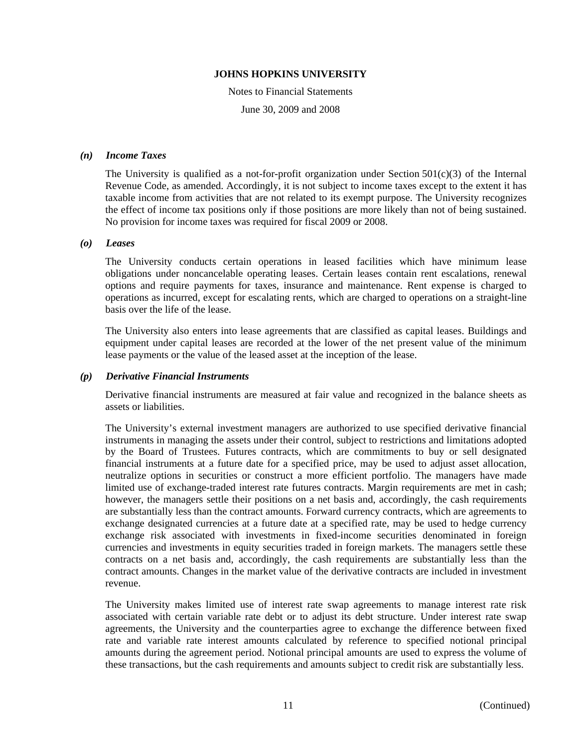Notes to Financial Statements June 30, 2009 and 2008

## *(n) Income Taxes*

The University is qualified as a not-for-profit organization under Section  $501(c)(3)$  of the Internal Revenue Code, as amended. Accordingly, it is not subject to income taxes except to the extent it has taxable income from activities that are not related to its exempt purpose. The University recognizes the effect of income tax positions only if those positions are more likely than not of being sustained. No provision for income taxes was required for fiscal 2009 or 2008.

#### *(o) Leases*

The University conducts certain operations in leased facilities which have minimum lease obligations under noncancelable operating leases. Certain leases contain rent escalations, renewal options and require payments for taxes, insurance and maintenance. Rent expense is charged to operations as incurred, except for escalating rents, which are charged to operations on a straight-line basis over the life of the lease.

The University also enters into lease agreements that are classified as capital leases. Buildings and equipment under capital leases are recorded at the lower of the net present value of the minimum lease payments or the value of the leased asset at the inception of the lease.

#### *(p) Derivative Financial Instruments*

Derivative financial instruments are measured at fair value and recognized in the balance sheets as assets or liabilities.

The University's external investment managers are authorized to use specified derivative financial instruments in managing the assets under their control, subject to restrictions and limitations adopted by the Board of Trustees. Futures contracts, which are commitments to buy or sell designated financial instruments at a future date for a specified price, may be used to adjust asset allocation, neutralize options in securities or construct a more efficient portfolio. The managers have made limited use of exchange-traded interest rate futures contracts. Margin requirements are met in cash; however, the managers settle their positions on a net basis and, accordingly, the cash requirements are substantially less than the contract amounts. Forward currency contracts, which are agreements to exchange designated currencies at a future date at a specified rate, may be used to hedge currency exchange risk associated with investments in fixed-income securities denominated in foreign currencies and investments in equity securities traded in foreign markets. The managers settle these contracts on a net basis and, accordingly, the cash requirements are substantially less than the contract amounts. Changes in the market value of the derivative contracts are included in investment revenue.

The University makes limited use of interest rate swap agreements to manage interest rate risk associated with certain variable rate debt or to adjust its debt structure. Under interest rate swap agreements, the University and the counterparties agree to exchange the difference between fixed rate and variable rate interest amounts calculated by reference to specified notional principal amounts during the agreement period. Notional principal amounts are used to express the volume of these transactions, but the cash requirements and amounts subject to credit risk are substantially less.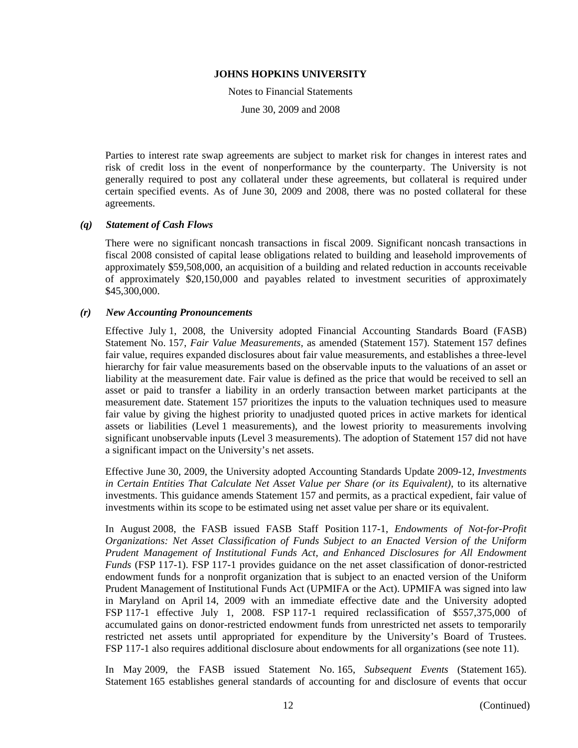Notes to Financial Statements

June 30, 2009 and 2008

Parties to interest rate swap agreements are subject to market risk for changes in interest rates and risk of credit loss in the event of nonperformance by the counterparty. The University is not generally required to post any collateral under these agreements, but collateral is required under certain specified events. As of June 30, 2009 and 2008, there was no posted collateral for these agreements.

#### *(q) Statement of Cash Flows*

There were no significant noncash transactions in fiscal 2009. Significant noncash transactions in fiscal 2008 consisted of capital lease obligations related to building and leasehold improvements of approximately \$59,508,000, an acquisition of a building and related reduction in accounts receivable of approximately \$20,150,000 and payables related to investment securities of approximately \$45,300,000.

#### *(r) New Accounting Pronouncements*

Effective July 1, 2008, the University adopted Financial Accounting Standards Board (FASB) Statement No. 157, *Fair Value Measurements,* as amended (Statement 157). Statement 157 defines fair value, requires expanded disclosures about fair value measurements, and establishes a three-level hierarchy for fair value measurements based on the observable inputs to the valuations of an asset or liability at the measurement date. Fair value is defined as the price that would be received to sell an asset or paid to transfer a liability in an orderly transaction between market participants at the measurement date. Statement 157 prioritizes the inputs to the valuation techniques used to measure fair value by giving the highest priority to unadjusted quoted prices in active markets for identical assets or liabilities (Level 1 measurements), and the lowest priority to measurements involving significant unobservable inputs (Level 3 measurements). The adoption of Statement 157 did not have a significant impact on the University's net assets.

Effective June 30, 2009, the University adopted Accounting Standards Update 2009-12, *Investments in Certain Entities That Calculate Net Asset Value per Share (or its Equivalent)*, to its alternative investments. This guidance amends Statement 157 and permits, as a practical expedient, fair value of investments within its scope to be estimated using net asset value per share or its equivalent.

In August 2008, the FASB issued FASB Staff Position 117-1, *Endowments of Not-for-Profit Organizations: Net Asset Classification of Funds Subject to an Enacted Version of the Uniform Prudent Management of Institutional Funds Act, and Enhanced Disclosures for All Endowment Funds* (FSP 117-1). FSP 117-1 provides guidance on the net asset classification of donor-restricted endowment funds for a nonprofit organization that is subject to an enacted version of the Uniform Prudent Management of Institutional Funds Act (UPMIFA or the Act). UPMIFA was signed into law in Maryland on April 14, 2009 with an immediate effective date and the University adopted FSP 117-1 effective July 1, 2008. FSP 117-1 required reclassification of \$557,375,000 of accumulated gains on donor-restricted endowment funds from unrestricted net assets to temporarily restricted net assets until appropriated for expenditure by the University's Board of Trustees. FSP 117-1 also requires additional disclosure about endowments for all organizations (see note 11).

In May 2009, the FASB issued Statement No. 165, *Subsequent Events* (Statement 165). Statement 165 establishes general standards of accounting for and disclosure of events that occur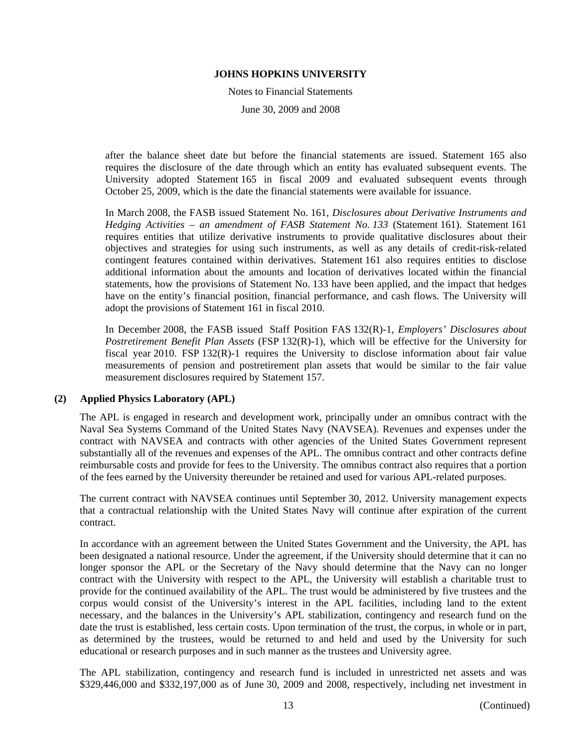Notes to Financial Statements

June 30, 2009 and 2008

after the balance sheet date but before the financial statements are issued. Statement 165 also requires the disclosure of the date through which an entity has evaluated subsequent events. The University adopted Statement 165 in fiscal 2009 and evaluated subsequent events through October 25, 2009, which is the date the financial statements were available for issuance.

In March 2008, the FASB issued Statement No. 161, *Disclosures about Derivative Instruments and Hedging Activities – an amendment of FASB Statement No. 133* (Statement 161). Statement 161 requires entities that utilize derivative instruments to provide qualitative disclosures about their objectives and strategies for using such instruments, as well as any details of credit-risk-related contingent features contained within derivatives. Statement 161 also requires entities to disclose additional information about the amounts and location of derivatives located within the financial statements, how the provisions of Statement No. 133 have been applied, and the impact that hedges have on the entity's financial position, financial performance, and cash flows. The University will adopt the provisions of Statement 161 in fiscal 2010.

In December 2008, the FASB issued Staff Position FAS 132(R)-1, *Employers' Disclosures about Postretirement Benefit Plan Assets* (FSP 132(R)-1), which will be effective for the University for fiscal year 2010. FSP 132(R)-1 requires the University to disclose information about fair value measurements of pension and postretirement plan assets that would be similar to the fair value measurement disclosures required by Statement 157.

#### **(2) Applied Physics Laboratory (APL)**

The APL is engaged in research and development work, principally under an omnibus contract with the Naval Sea Systems Command of the United States Navy (NAVSEA). Revenues and expenses under the contract with NAVSEA and contracts with other agencies of the United States Government represent substantially all of the revenues and expenses of the APL. The omnibus contract and other contracts define reimbursable costs and provide for fees to the University. The omnibus contract also requires that a portion of the fees earned by the University thereunder be retained and used for various APL-related purposes.

The current contract with NAVSEA continues until September 30, 2012. University management expects that a contractual relationship with the United States Navy will continue after expiration of the current contract.

In accordance with an agreement between the United States Government and the University, the APL has been designated a national resource. Under the agreement, if the University should determine that it can no longer sponsor the APL or the Secretary of the Navy should determine that the Navy can no longer contract with the University with respect to the APL, the University will establish a charitable trust to provide for the continued availability of the APL. The trust would be administered by five trustees and the corpus would consist of the University's interest in the APL facilities, including land to the extent necessary, and the balances in the University's APL stabilization, contingency and research fund on the date the trust is established, less certain costs. Upon termination of the trust, the corpus, in whole or in part, as determined by the trustees, would be returned to and held and used by the University for such educational or research purposes and in such manner as the trustees and University agree.

The APL stabilization, contingency and research fund is included in unrestricted net assets and was \$329,446,000 and \$332,197,000 as of June 30, 2009 and 2008, respectively, including net investment in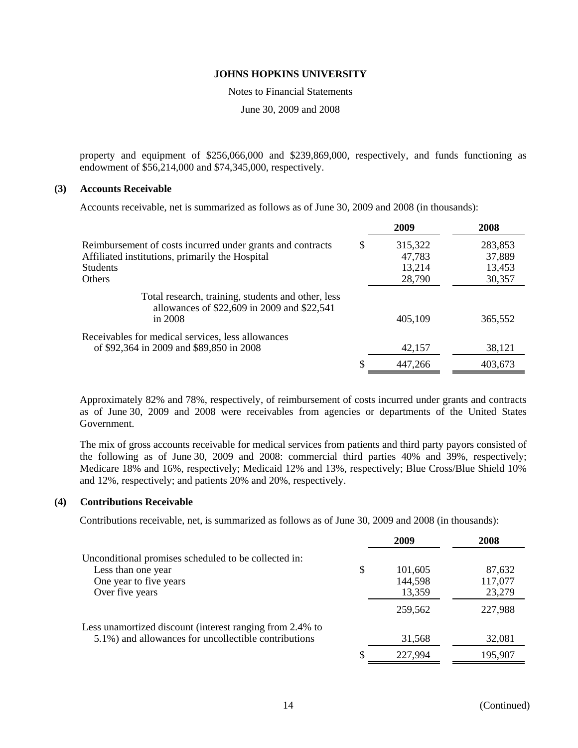Notes to Financial Statements

June 30, 2009 and 2008

property and equipment of \$256,066,000 and \$239,869,000, respectively, and funds functioning as endowment of \$56,214,000 and \$74,345,000, respectively.

## **(3) Accounts Receivable**

Accounts receivable, net is summarized as follows as of June 30, 2009 and 2008 (in thousands):

|                                                                                                                | 2009          | 2008    |
|----------------------------------------------------------------------------------------------------------------|---------------|---------|
| Reimbursement of costs incurred under grants and contracts                                                     | \$<br>315,322 | 283,853 |
| Affiliated institutions, primarily the Hospital                                                                | 47,783        | 37,889  |
| <b>Students</b>                                                                                                | 13,214        | 13,453  |
| <b>Others</b>                                                                                                  | 28,790        | 30,357  |
| Total research, training, students and other, less<br>allowances of \$22,609 in 2009 and \$22,541<br>in $2008$ | 405,109       | 365,552 |
| Receivables for medical services, less allowances                                                              |               |         |
| of \$92,364 in 2009 and \$89,850 in 2008                                                                       | 42,157        | 38,121  |
|                                                                                                                | 447,266       | 403,673 |

Approximately 82% and 78%, respectively, of reimbursement of costs incurred under grants and contracts as of June 30, 2009 and 2008 were receivables from agencies or departments of the United States Government.

The mix of gross accounts receivable for medical services from patients and third party payors consisted of the following as of June 30, 2009 and 2008: commercial third parties 40% and 39%, respectively; Medicare 18% and 16%, respectively; Medicaid 12% and 13%, respectively; Blue Cross/Blue Shield 10% and 12%, respectively; and patients 20% and 20%, respectively.

#### **(4) Contributions Receivable**

Contributions receivable, net, is summarized as follows as of June 30, 2009 and 2008 (in thousands):

|                                                          | 2009          | 2008    |
|----------------------------------------------------------|---------------|---------|
| Unconditional promises scheduled to be collected in:     |               |         |
| Less than one year                                       | \$<br>101,605 | 87,632  |
| One year to five years                                   | 144,598       | 117,077 |
| Over five years                                          | 13,359        | 23,279  |
|                                                          | 259,562       | 227,988 |
| Less unamortized discount (interest ranging from 2.4% to |               |         |
| 5.1%) and allowances for uncollectible contributions     | 31,568        | 32,081  |
|                                                          | 227,994       | 195,907 |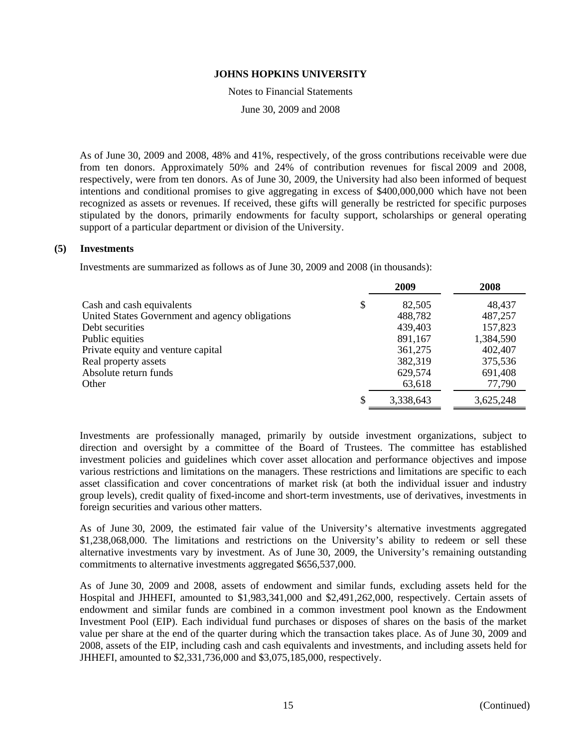Notes to Financial Statements

June 30, 2009 and 2008

As of June 30, 2009 and 2008, 48% and 41%, respectively, of the gross contributions receivable were due from ten donors. Approximately 50% and 24% of contribution revenues for fiscal 2009 and 2008, respectively, were from ten donors. As of June 30, 2009, the University had also been informed of bequest intentions and conditional promises to give aggregating in excess of \$400,000,000 which have not been recognized as assets or revenues. If received, these gifts will generally be restricted for specific purposes stipulated by the donors, primarily endowments for faculty support, scholarships or general operating support of a particular department or division of the University.

## **(5) Investments**

Investments are summarized as follows as of June 30, 2009 and 2008 (in thousands):

|                                                 | 2009            | 2008      |
|-------------------------------------------------|-----------------|-----------|
| Cash and cash equivalents                       | \$<br>82,505    | 48,437    |
| United States Government and agency obligations | 488,782         | 487,257   |
| Debt securities                                 | 439,403         | 157,823   |
| Public equities                                 | 891,167         | 1,384,590 |
| Private equity and venture capital              | 361,275         | 402,407   |
| Real property assets                            | 382,319         | 375,536   |
| Absolute return funds                           | 629,574         | 691,408   |
| Other                                           | 63,618          | 77,790    |
|                                                 | \$<br>3,338,643 | 3,625,248 |

Investments are professionally managed, primarily by outside investment organizations, subject to direction and oversight by a committee of the Board of Trustees. The committee has established investment policies and guidelines which cover asset allocation and performance objectives and impose various restrictions and limitations on the managers. These restrictions and limitations are specific to each asset classification and cover concentrations of market risk (at both the individual issuer and industry group levels), credit quality of fixed-income and short-term investments, use of derivatives, investments in foreign securities and various other matters.

As of June 30, 2009, the estimated fair value of the University's alternative investments aggregated \$1,238,068,000. The limitations and restrictions on the University's ability to redeem or sell these alternative investments vary by investment. As of June 30, 2009, the University's remaining outstanding commitments to alternative investments aggregated \$656,537,000.

As of June 30, 2009 and 2008, assets of endowment and similar funds, excluding assets held for the Hospital and JHHEFI, amounted to \$1,983,341,000 and \$2,491,262,000, respectively. Certain assets of endowment and similar funds are combined in a common investment pool known as the Endowment Investment Pool (EIP). Each individual fund purchases or disposes of shares on the basis of the market value per share at the end of the quarter during which the transaction takes place. As of June 30, 2009 and 2008, assets of the EIP, including cash and cash equivalents and investments, and including assets held for JHHEFI, amounted to \$2,331,736,000 and \$3,075,185,000, respectively.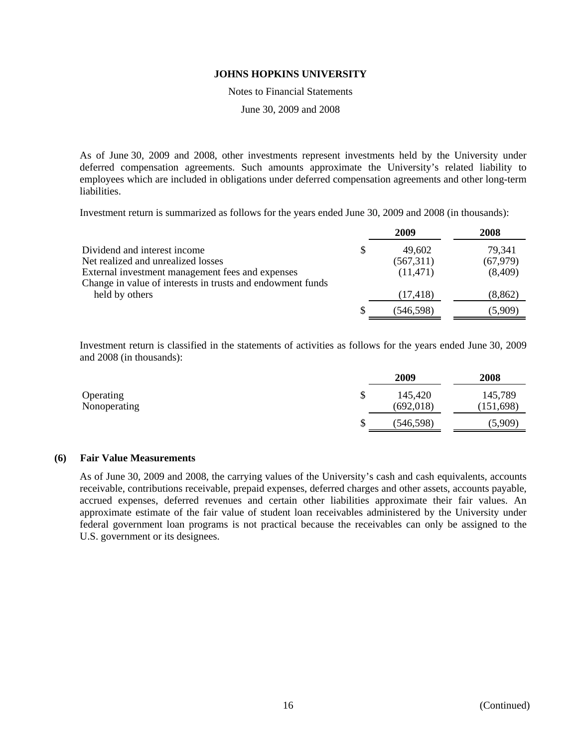Notes to Financial Statements

June 30, 2009 and 2008

As of June 30, 2009 and 2008, other investments represent investments held by the University under deferred compensation agreements. Such amounts approximate the University's related liability to employees which are included in obligations under deferred compensation agreements and other long-term liabilities.

Investment return is summarized as follows for the years ended June 30, 2009 and 2008 (in thousands):

|                                                            | 2009      | 2008      |
|------------------------------------------------------------|-----------|-----------|
| Dividend and interest income                               | 49,602    | 79,341    |
| Net realized and unrealized losses                         | (567,311) | (67, 979) |
| External investment management fees and expenses           | (11, 471) | (8,409)   |
| Change in value of interests in trusts and endowment funds |           |           |
| held by others                                             | (17, 418) | (8, 862)  |
|                                                            | (546,598) | (5,909)   |

Investment return is classified in the statements of activities as follows for the years ended June 30, 2009 and 2008 (in thousands):

|              |   | 2009       | 2008       |
|--------------|---|------------|------------|
| Operating    | J | 145,420    | 145,789    |
| Nonoperating |   | (692, 018) | (151, 698) |
|              | D | (546, 598) | (5,909)    |

## **(6) Fair Value Measurements**

As of June 30, 2009 and 2008, the carrying values of the University's cash and cash equivalents, accounts receivable, contributions receivable, prepaid expenses, deferred charges and other assets, accounts payable, accrued expenses, deferred revenues and certain other liabilities approximate their fair values. An approximate estimate of the fair value of student loan receivables administered by the University under federal government loan programs is not practical because the receivables can only be assigned to the U.S. government or its designees.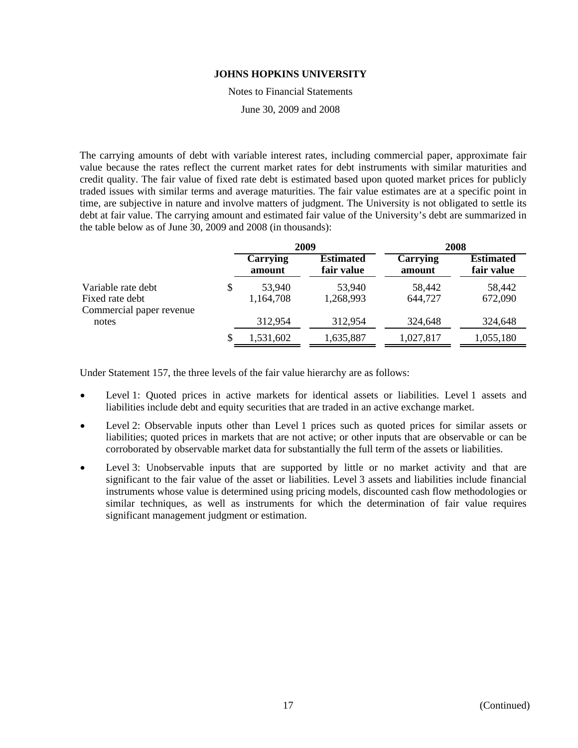Notes to Financial Statements

June 30, 2009 and 2008

The carrying amounts of debt with variable interest rates, including commercial paper, approximate fair value because the rates reflect the current market rates for debt instruments with similar maturities and credit quality. The fair value of fixed rate debt is estimated based upon quoted market prices for publicly traded issues with similar terms and average maturities. The fair value estimates are at a specific point in time, are subjective in nature and involve matters of judgment. The University is not obligated to settle its debt at fair value. The carrying amount and estimated fair value of the University's debt are summarized in the table below as of June 30, 2009 and 2008 (in thousands):

|                                                                   |   |                     | 2009                           | 2008               |                                |  |
|-------------------------------------------------------------------|---|---------------------|--------------------------------|--------------------|--------------------------------|--|
|                                                                   |   | Carrying<br>amount  | <b>Estimated</b><br>fair value | Carrying<br>amount | <b>Estimated</b><br>fair value |  |
| Variable rate debt<br>Fixed rate debt<br>Commercial paper revenue | S | 53,940<br>1,164,708 | 53,940<br>1,268,993            | 58,442<br>644,727  | 58,442<br>672,090              |  |
| notes                                                             |   | 312,954             | 312,954                        | 324,648            | 324,648                        |  |
|                                                                   | S | 1,531,602           | 1,635,887                      | 1,027,817          | 1,055,180                      |  |

Under Statement 157, the three levels of the fair value hierarchy are as follows:

- Level 1: Quoted prices in active markets for identical assets or liabilities. Level 1 assets and liabilities include debt and equity securities that are traded in an active exchange market.
- Level 2: Observable inputs other than Level 1 prices such as quoted prices for similar assets or liabilities; quoted prices in markets that are not active; or other inputs that are observable or can be corroborated by observable market data for substantially the full term of the assets or liabilities.
- Level 3: Unobservable inputs that are supported by little or no market activity and that are significant to the fair value of the asset or liabilities. Level 3 assets and liabilities include financial instruments whose value is determined using pricing models, discounted cash flow methodologies or similar techniques, as well as instruments for which the determination of fair value requires significant management judgment or estimation.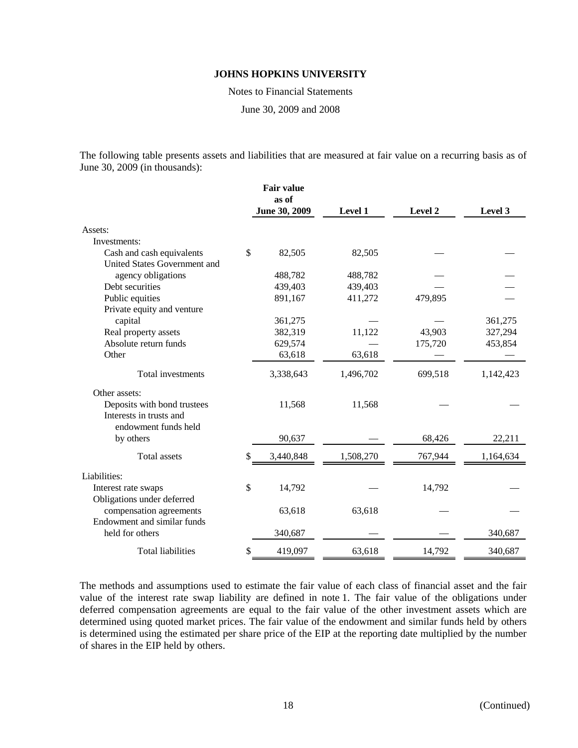Notes to Financial Statements

June 30, 2009 and 2008

The following table presents assets and liabilities that are measured at fair value on a recurring basis as of June 30, 2009 (in thousands):

|                              | <b>Fair value</b><br>as of |           |         |           |
|------------------------------|----------------------------|-----------|---------|-----------|
|                              | June 30, 2009              | Level 1   | Level 2 | Level 3   |
| Assets:                      |                            |           |         |           |
| Investments:                 |                            |           |         |           |
| Cash and cash equivalents    | \$<br>82,505               | 82,505    |         |           |
| United States Government and |                            |           |         |           |
| agency obligations           | 488,782                    | 488,782   |         |           |
| Debt securities              | 439,403                    | 439,403   |         |           |
| Public equities              | 891,167                    | 411,272   | 479,895 |           |
| Private equity and venture   |                            |           |         |           |
| capital                      | 361,275                    |           |         | 361,275   |
| Real property assets         | 382,319                    | 11,122    | 43,903  | 327,294   |
| Absolute return funds        | 629,574                    |           | 175,720 | 453,854   |
| Other                        | 63,618                     | 63,618    |         |           |
| Total investments            | 3,338,643                  | 1,496,702 | 699,518 | 1,142,423 |
| Other assets:                |                            |           |         |           |
| Deposits with bond trustees  | 11,568                     | 11,568    |         |           |
| Interests in trusts and      |                            |           |         |           |
| endowment funds held         |                            |           |         |           |
| by others                    | 90,637                     |           | 68,426  | 22,211    |
| <b>Total</b> assets          | \$<br>3,440,848            | 1,508,270 | 767,944 | 1,164,634 |
| Liabilities:                 |                            |           |         |           |
| Interest rate swaps          | \$<br>14,792               |           | 14,792  |           |
| Obligations under deferred   |                            |           |         |           |
| compensation agreements      | 63,618                     | 63,618    |         |           |
| Endowment and similar funds  |                            |           |         |           |
| held for others              | 340,687                    |           |         | 340,687   |
| <b>Total liabilities</b>     | \$<br>419,097              | 63,618    | 14,792  | 340,687   |

The methods and assumptions used to estimate the fair value of each class of financial asset and the fair value of the interest rate swap liability are defined in note 1. The fair value of the obligations under deferred compensation agreements are equal to the fair value of the other investment assets which are determined using quoted market prices. The fair value of the endowment and similar funds held by others is determined using the estimated per share price of the EIP at the reporting date multiplied by the number of shares in the EIP held by others.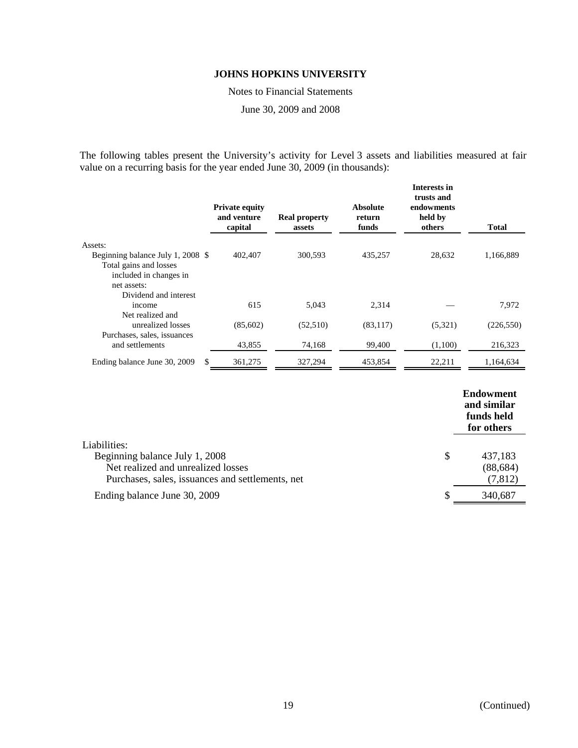Notes to Financial Statements

June 30, 2009 and 2008

The following tables present the University's activity for Level 3 assets and liabilities measured at fair value on a recurring basis for the year ended June 30, 2009 (in thousands):

|                                   | <b>Private equity</b><br>and venture<br>capital | <b>Real property</b><br>assets | Absolute<br>return<br>funds | <b>Interests in</b><br>trusts and<br>endowments<br>held by<br>others | Total      |
|-----------------------------------|-------------------------------------------------|--------------------------------|-----------------------------|----------------------------------------------------------------------|------------|
| Assets:                           |                                                 |                                |                             |                                                                      |            |
| Beginning balance July 1, 2008 \$ | 402,407                                         | 300,593                        | 435,257                     | 28,632                                                               | 1,166,889  |
| Total gains and losses            |                                                 |                                |                             |                                                                      |            |
| included in changes in            |                                                 |                                |                             |                                                                      |            |
| net assets:                       |                                                 |                                |                             |                                                                      |            |
| Dividend and interest             |                                                 |                                |                             |                                                                      |            |
| income                            | 615                                             | 5.043                          | 2,314                       |                                                                      | 7,972      |
| Net realized and                  |                                                 |                                |                             |                                                                      |            |
| unrealized losses                 | (85,602)                                        | (52,510)                       | (83, 117)                   | (5,321)                                                              | (226, 550) |
| Purchases, sales, issuances       |                                                 |                                |                             |                                                                      |            |
| and settlements                   | 43,855                                          | 74,168                         | 99,400                      | (1,100)                                                              | 216,323    |
| Ending balance June 30, 2009      | 361,275<br>S.                                   | 327,294                        | 453,854                     | 22,211                                                               | 1,164,634  |

|                                                  |    | <b>Endowment</b><br>and similar<br>funds held<br>for others |
|--------------------------------------------------|----|-------------------------------------------------------------|
| Liabilities:                                     |    |                                                             |
| Beginning balance July 1, 2008                   | \$ | 437,183                                                     |
| Net realized and unrealized losses               |    | (88, 684)                                                   |
| Purchases, sales, issuances and settlements, net |    | (7, 812)                                                    |
| Ending balance June 30, 2009                     | S  | 340,687                                                     |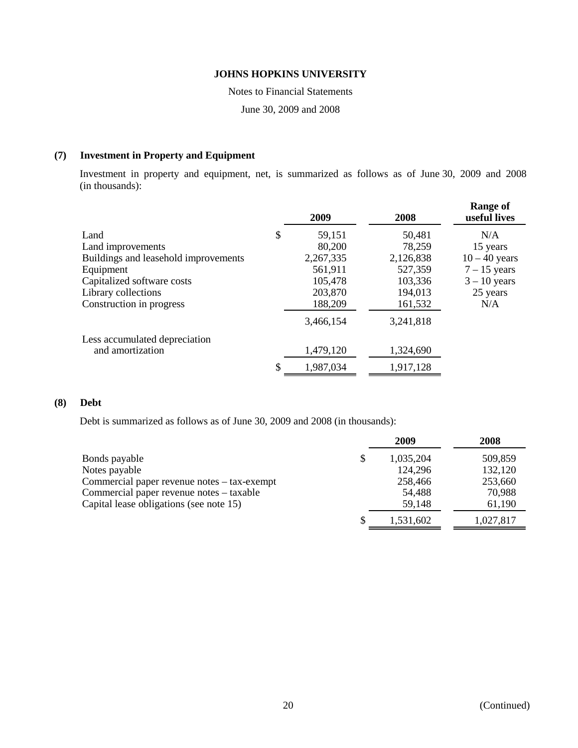Notes to Financial Statements

June 30, 2009 and 2008

## **(7) Investment in Property and Equipment**

Investment in property and equipment, net, is summarized as follows as of June 30, 2009 and 2008 (in thousands):

|                                      | 2009         | 2008      | <b>Range of</b><br>useful lives |
|--------------------------------------|--------------|-----------|---------------------------------|
| Land                                 | \$<br>59,151 | 50,481    | N/A                             |
| Land improvements                    | 80,200       | 78,259    | 15 years                        |
| Buildings and leasehold improvements | 2,267,335    | 2,126,838 | $10 - 40$ years                 |
| Equipment                            | 561,911      | 527,359   | $7 - 15$ years                  |
| Capitalized software costs           | 105,478      | 103,336   | $3 - 10$ years                  |
| Library collections                  | 203,870      | 194,013   | 25 years                        |
| Construction in progress             | 188,209      | 161,532   | N/A                             |
|                                      | 3,466,154    | 3,241,818 |                                 |
| Less accumulated depreciation        |              |           |                                 |
| and amortization                     | 1,479,120    | 1,324,690 |                                 |
|                                      | 1,987,034    | 1,917,128 |                                 |

## **(8) Debt**

Debt is summarized as follows as of June 30, 2009 and 2008 (in thousands):

|                                             | 2009      | 2008      |
|---------------------------------------------|-----------|-----------|
| Bonds payable                               | 1,035,204 | 509,859   |
| Notes payable                               | 124,296   | 132,120   |
| Commercial paper revenue notes – tax-exempt | 258,466   | 253,660   |
| Commercial paper revenue notes – taxable    | 54,488    | 70,988    |
| Capital lease obligations (see note 15)     | 59,148    | 61,190    |
|                                             | 1,531,602 | 1,027,817 |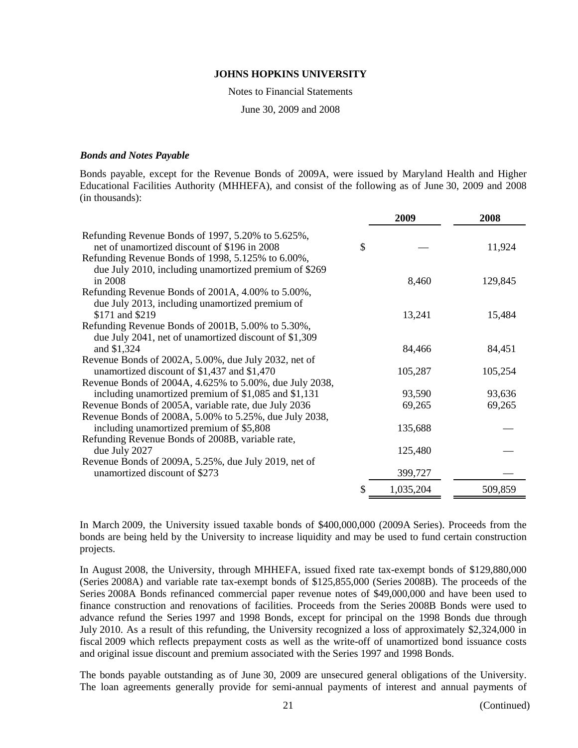Notes to Financial Statements

June 30, 2009 and 2008

#### *Bonds and Notes Payable*

Bonds payable, except for the Revenue Bonds of 2009A, were issued by Maryland Health and Higher Educational Facilities Authority (MHHEFA), and consist of the following as of June 30, 2009 and 2008 (in thousands):

|                                                                                                                                                        | 2009      | 2008    |
|--------------------------------------------------------------------------------------------------------------------------------------------------------|-----------|---------|
| Refunding Revenue Bonds of 1997, 5.20% to 5.625%,<br>net of unamortized discount of \$196 in 2008<br>Refunding Revenue Bonds of 1998, 5.125% to 6.00%, | \$        | 11,924  |
| due July 2010, including unamortized premium of \$269<br>in 2008                                                                                       | 8,460     | 129,845 |
| Refunding Revenue Bonds of 2001A, 4.00% to 5.00%,<br>due July 2013, including unamortized premium of                                                   |           |         |
| \$171 and \$219                                                                                                                                        | 13,241    | 15,484  |
| Refunding Revenue Bonds of 2001B, 5.00% to 5.30%,<br>due July 2041, net of unamortized discount of \$1,309<br>and \$1,324                              | 84,466    | 84,451  |
| Revenue Bonds of 2002A, 5.00%, due July 2032, net of                                                                                                   |           |         |
| unamortized discount of \$1,437 and \$1,470                                                                                                            | 105,287   | 105,254 |
| Revenue Bonds of 2004A, 4.625% to 5.00%, due July 2038,<br>including unamortized premium of \$1,085 and \$1,131                                        | 93,590    | 93,636  |
| Revenue Bonds of 2005A, variable rate, due July 2036                                                                                                   | 69,265    | 69,265  |
| Revenue Bonds of 2008A, 5.00% to 5.25%, due July 2038,                                                                                                 |           |         |
| including unamortized premium of \$5,808                                                                                                               | 135,688   |         |
| Refunding Revenue Bonds of 2008B, variable rate,<br>due July 2027                                                                                      | 125,480   |         |
| Revenue Bonds of 2009A, 5.25%, due July 2019, net of<br>unamortized discount of \$273                                                                  | 399,727   |         |
|                                                                                                                                                        | 1,035,204 | 509,859 |

In March 2009, the University issued taxable bonds of \$400,000,000 (2009A Series). Proceeds from the bonds are being held by the University to increase liquidity and may be used to fund certain construction projects.

In August 2008, the University, through MHHEFA, issued fixed rate tax-exempt bonds of \$129,880,000 (Series 2008A) and variable rate tax-exempt bonds of \$125,855,000 (Series 2008B). The proceeds of the Series 2008A Bonds refinanced commercial paper revenue notes of \$49,000,000 and have been used to finance construction and renovations of facilities. Proceeds from the Series 2008B Bonds were used to advance refund the Series 1997 and 1998 Bonds, except for principal on the 1998 Bonds due through July 2010. As a result of this refunding, the University recognized a loss of approximately \$2,324,000 in fiscal 2009 which reflects prepayment costs as well as the write-off of unamortized bond issuance costs and original issue discount and premium associated with the Series 1997 and 1998 Bonds.

The bonds payable outstanding as of June 30, 2009 are unsecured general obligations of the University. The loan agreements generally provide for semi-annual payments of interest and annual payments of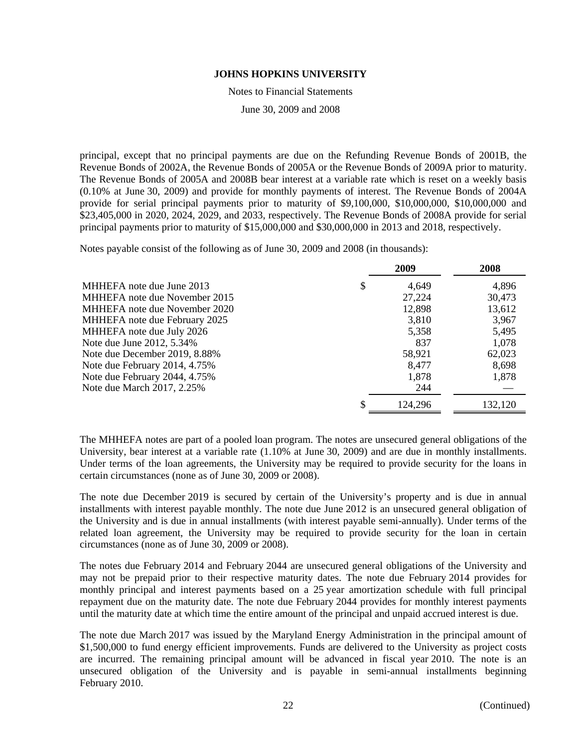Notes to Financial Statements

June 30, 2009 and 2008

principal, except that no principal payments are due on the Refunding Revenue Bonds of 2001B, the Revenue Bonds of 2002A, the Revenue Bonds of 2005A or the Revenue Bonds of 2009A prior to maturity. The Revenue Bonds of 2005A and 2008B bear interest at a variable rate which is reset on a weekly basis (0.10% at June 30, 2009) and provide for monthly payments of interest. The Revenue Bonds of 2004A provide for serial principal payments prior to maturity of \$9,100,000, \$10,000,000, \$10,000,000 and \$23,405,000 in 2020, 2024, 2029, and 2033, respectively. The Revenue Bonds of 2008A provide for serial principal payments prior to maturity of \$15,000,000 and \$30,000,000 in 2013 and 2018, respectively.

Notes payable consist of the following as of June 30, 2009 and 2008 (in thousands):

|                               | 2009        | 2008    |
|-------------------------------|-------------|---------|
| MHHEFA note due June 2013     | \$<br>4,649 | 4,896   |
| MHHEFA note due November 2015 | 27,224      | 30,473  |
| MHHEFA note due November 2020 | 12,898      | 13,612  |
| MHHEFA note due February 2025 | 3,810       | 3,967   |
| MHHEFA note due July 2026     | 5,358       | 5,495   |
| Note due June 2012, 5.34%     | 837         | 1,078   |
| Note due December 2019, 8.88% | 58,921      | 62,023  |
| Note due February 2014, 4.75% | 8,477       | 8,698   |
| Note due February 2044, 4.75% | 1,878       | 1,878   |
| Note due March 2017, 2.25%    | 244         |         |
|                               | 124,296     | 132,120 |

The MHHEFA notes are part of a pooled loan program. The notes are unsecured general obligations of the University, bear interest at a variable rate (1.10% at June 30, 2009) and are due in monthly installments. Under terms of the loan agreements, the University may be required to provide security for the loans in certain circumstances (none as of June 30, 2009 or 2008).

The note due December 2019 is secured by certain of the University's property and is due in annual installments with interest payable monthly. The note due June 2012 is an unsecured general obligation of the University and is due in annual installments (with interest payable semi-annually). Under terms of the related loan agreement, the University may be required to provide security for the loan in certain circumstances (none as of June 30, 2009 or 2008).

The notes due February 2014 and February 2044 are unsecured general obligations of the University and may not be prepaid prior to their respective maturity dates. The note due February 2014 provides for monthly principal and interest payments based on a 25 year amortization schedule with full principal repayment due on the maturity date. The note due February 2044 provides for monthly interest payments until the maturity date at which time the entire amount of the principal and unpaid accrued interest is due.

The note due March 2017 was issued by the Maryland Energy Administration in the principal amount of \$1,500,000 to fund energy efficient improvements. Funds are delivered to the University as project costs are incurred. The remaining principal amount will be advanced in fiscal year 2010. The note is an unsecured obligation of the University and is payable in semi-annual installments beginning February 2010.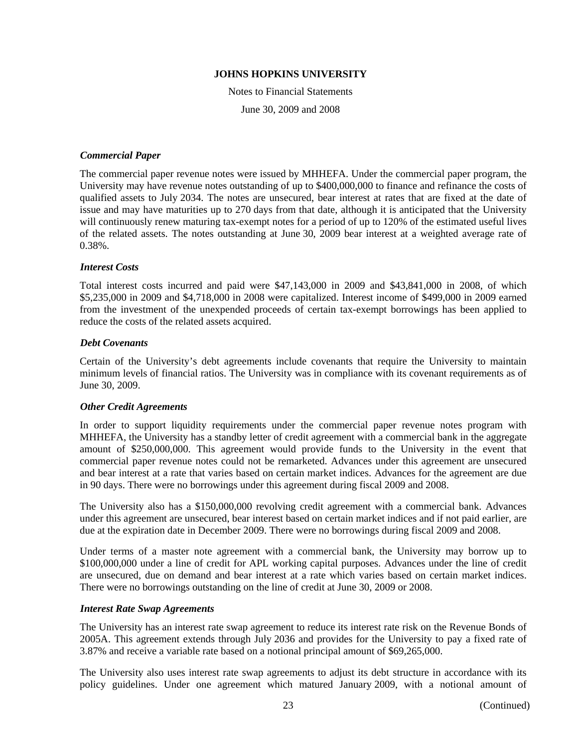Notes to Financial Statements June 30, 2009 and 2008

## *Commercial Paper*

The commercial paper revenue notes were issued by MHHEFA. Under the commercial paper program, the University may have revenue notes outstanding of up to \$400,000,000 to finance and refinance the costs of qualified assets to July 2034. The notes are unsecured, bear interest at rates that are fixed at the date of issue and may have maturities up to 270 days from that date, although it is anticipated that the University will continuously renew maturing tax-exempt notes for a period of up to 120% of the estimated useful lives of the related assets. The notes outstanding at June 30, 2009 bear interest at a weighted average rate of 0.38%.

## *Interest Costs*

Total interest costs incurred and paid were \$47,143,000 in 2009 and \$43,841,000 in 2008, of which \$5,235,000 in 2009 and \$4,718,000 in 2008 were capitalized. Interest income of \$499,000 in 2009 earned from the investment of the unexpended proceeds of certain tax-exempt borrowings has been applied to reduce the costs of the related assets acquired.

## *Debt Covenants*

Certain of the University's debt agreements include covenants that require the University to maintain minimum levels of financial ratios. The University was in compliance with its covenant requirements as of June 30, 2009.

#### *Other Credit Agreements*

In order to support liquidity requirements under the commercial paper revenue notes program with MHHEFA, the University has a standby letter of credit agreement with a commercial bank in the aggregate amount of \$250,000,000. This agreement would provide funds to the University in the event that commercial paper revenue notes could not be remarketed. Advances under this agreement are unsecured and bear interest at a rate that varies based on certain market indices. Advances for the agreement are due in 90 days. There were no borrowings under this agreement during fiscal 2009 and 2008.

The University also has a \$150,000,000 revolving credit agreement with a commercial bank. Advances under this agreement are unsecured, bear interest based on certain market indices and if not paid earlier, are due at the expiration date in December 2009. There were no borrowings during fiscal 2009 and 2008.

Under terms of a master note agreement with a commercial bank, the University may borrow up to \$100,000,000 under a line of credit for APL working capital purposes. Advances under the line of credit are unsecured, due on demand and bear interest at a rate which varies based on certain market indices. There were no borrowings outstanding on the line of credit at June 30, 2009 or 2008.

#### *Interest Rate Swap Agreements*

The University has an interest rate swap agreement to reduce its interest rate risk on the Revenue Bonds of 2005A. This agreement extends through July 2036 and provides for the University to pay a fixed rate of 3.87% and receive a variable rate based on a notional principal amount of \$69,265,000.

The University also uses interest rate swap agreements to adjust its debt structure in accordance with its policy guidelines. Under one agreement which matured January 2009, with a notional amount of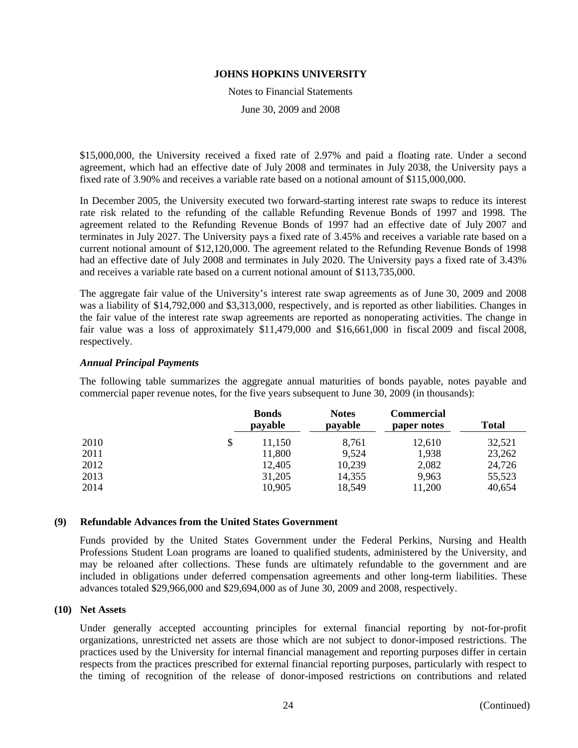Notes to Financial Statements

June 30, 2009 and 2008

\$15,000,000, the University received a fixed rate of 2.97% and paid a floating rate. Under a second agreement, which had an effective date of July 2008 and terminates in July 2038, the University pays a fixed rate of 3.90% and receives a variable rate based on a notional amount of \$115,000,000.

In December 2005, the University executed two forward-starting interest rate swaps to reduce its interest rate risk related to the refunding of the callable Refunding Revenue Bonds of 1997 and 1998. The agreement related to the Refunding Revenue Bonds of 1997 had an effective date of July 2007 and terminates in July 2027. The University pays a fixed rate of 3.45% and receives a variable rate based on a current notional amount of \$12,120,000. The agreement related to the Refunding Revenue Bonds of 1998 had an effective date of July 2008 and terminates in July 2020. The University pays a fixed rate of 3.43% and receives a variable rate based on a current notional amount of \$113,735,000.

The aggregate fair value of the University's interest rate swap agreements as of June 30, 2009 and 2008 was a liability of \$14,792,000 and \$3,313,000, respectively, and is reported as other liabilities. Changes in the fair value of the interest rate swap agreements are reported as nonoperating activities. The change in fair value was a loss of approximately \$11,479,000 and \$16,661,000 in fiscal 2009 and fiscal 2008, respectively.

## *Annual Principal Payments*

The following table summarizes the aggregate annual maturities of bonds payable, notes payable and commercial paper revenue notes, for the five years subsequent to June 30, 2009 (in thousands):

| <b>Bonds</b><br>payable | <b>Notes</b><br>payable | Commercial<br>paper notes | <b>Total</b> |
|-------------------------|-------------------------|---------------------------|--------------|
| \$<br>11,150            | 8,761                   | 12,610                    | 32,521       |
| 11,800                  | 9,524                   | 1,938                     | 23,262       |
| 12,405                  | 10,239                  | 2,082                     | 24,726       |
| 31,205                  | 14,355                  | 9,963                     | 55,523       |
| 10,905                  | 18,549                  | 11,200                    | 40,654       |
|                         |                         |                           |              |

#### **(9) Refundable Advances from the United States Government**

Funds provided by the United States Government under the Federal Perkins, Nursing and Health Professions Student Loan programs are loaned to qualified students, administered by the University, and may be reloaned after collections. These funds are ultimately refundable to the government and are included in obligations under deferred compensation agreements and other long-term liabilities. These advances totaled \$29,966,000 and \$29,694,000 as of June 30, 2009 and 2008, respectively.

#### **(10) Net Assets**

Under generally accepted accounting principles for external financial reporting by not-for-profit organizations, unrestricted net assets are those which are not subject to donor-imposed restrictions. The practices used by the University for internal financial management and reporting purposes differ in certain respects from the practices prescribed for external financial reporting purposes, particularly with respect to the timing of recognition of the release of donor-imposed restrictions on contributions and related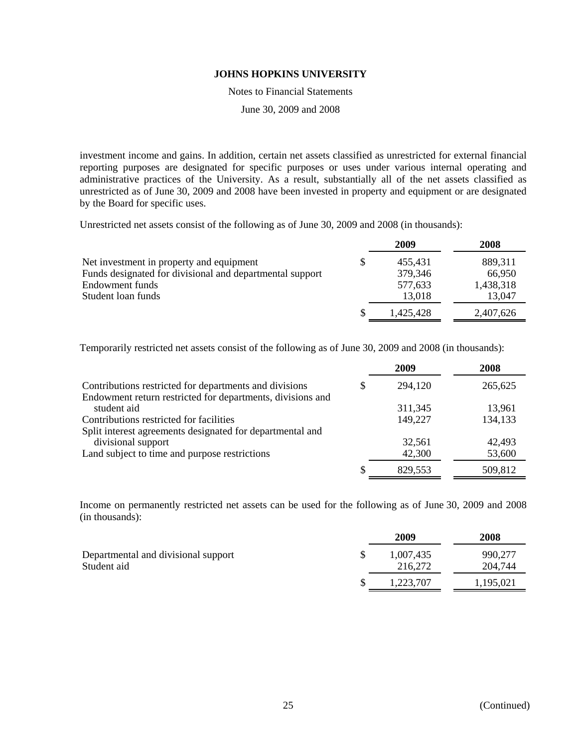Notes to Financial Statements

June 30, 2009 and 2008

investment income and gains. In addition, certain net assets classified as unrestricted for external financial reporting purposes are designated for specific purposes or uses under various internal operating and administrative practices of the University. As a result, substantially all of the net assets classified as unrestricted as of June 30, 2009 and 2008 have been invested in property and equipment or are designated by the Board for specific uses.

Unrestricted net assets consist of the following as of June 30, 2009 and 2008 (in thousands):

|                                                          | 2009          | 2008      |
|----------------------------------------------------------|---------------|-----------|
| Net investment in property and equipment                 | \$<br>455,431 | 889,311   |
| Funds designated for divisional and departmental support | 379,346       | 66,950    |
| Endowment funds                                          | 577,633       | 1,438,318 |
| Student loan funds                                       | 13,018        | 13,047    |
|                                                          | 1.425.428     | 2,407,626 |

Temporarily restricted net assets consist of the following as of June 30, 2009 and 2008 (in thousands):

|                                                                                 |   | 2009    | 2008    |
|---------------------------------------------------------------------------------|---|---------|---------|
| Contributions restricted for departments and divisions                          | S | 294,120 | 265,625 |
| Endowment return restricted for departments, divisions and<br>student aid       |   | 311,345 | 13,961  |
| Contributions restricted for facilities                                         |   | 149,227 | 134,133 |
| Split interest agreements designated for departmental and<br>divisional support |   | 32,561  | 42,493  |
| Land subject to time and purpose restrictions                                   |   | 42,300  | 53,600  |
|                                                                                 | S | 829,553 | 509,812 |

Income on permanently restricted net assets can be used for the following as of June 30, 2009 and 2008 (in thousands):

|                                                    | 2009                 | 2008               |
|----------------------------------------------------|----------------------|--------------------|
| Departmental and divisional support<br>Student aid | 1,007,435<br>216,272 | 990,277<br>204,744 |
|                                                    | 1,223,707            | 1,195,021          |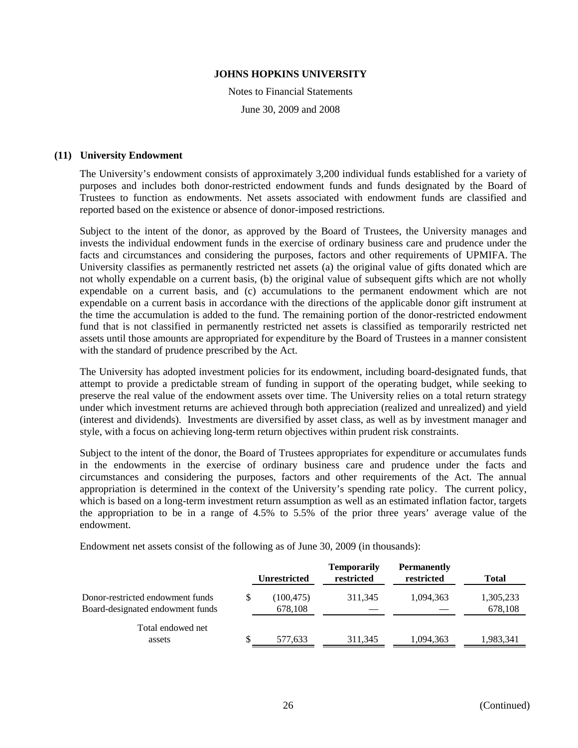Notes to Financial Statements June 30, 2009 and 2008

## **(11) University Endowment**

The University's endowment consists of approximately 3,200 individual funds established for a variety of purposes and includes both donor-restricted endowment funds and funds designated by the Board of Trustees to function as endowments. Net assets associated with endowment funds are classified and reported based on the existence or absence of donor-imposed restrictions.

Subject to the intent of the donor, as approved by the Board of Trustees, the University manages and invests the individual endowment funds in the exercise of ordinary business care and prudence under the facts and circumstances and considering the purposes, factors and other requirements of UPMIFA. The University classifies as permanently restricted net assets (a) the original value of gifts donated which are not wholly expendable on a current basis, (b) the original value of subsequent gifts which are not wholly expendable on a current basis, and (c) accumulations to the permanent endowment which are not expendable on a current basis in accordance with the directions of the applicable donor gift instrument at the time the accumulation is added to the fund. The remaining portion of the donor-restricted endowment fund that is not classified in permanently restricted net assets is classified as temporarily restricted net assets until those amounts are appropriated for expenditure by the Board of Trustees in a manner consistent with the standard of prudence prescribed by the Act.

The University has adopted investment policies for its endowment, including board-designated funds, that attempt to provide a predictable stream of funding in support of the operating budget, while seeking to preserve the real value of the endowment assets over time. The University relies on a total return strategy under which investment returns are achieved through both appreciation (realized and unrealized) and yield (interest and dividends). Investments are diversified by asset class, as well as by investment manager and style, with a focus on achieving long-term return objectives within prudent risk constraints.

Subject to the intent of the donor, the Board of Trustees appropriates for expenditure or accumulates funds in the endowments in the exercise of ordinary business care and prudence under the facts and circumstances and considering the purposes, factors and other requirements of the Act. The annual appropriation is determined in the context of the University's spending rate policy. The current policy, which is based on a long-term investment return assumption as well as an estimated inflation factor, targets the appropriation to be in a range of 4.5% to 5.5% of the prior three years' average value of the endowment.

Endowment net assets consist of the following as of June 30, 2009 (in thousands):

|                                                                      |    | <b>Unrestricted</b>   | <b>Temporarily</b><br>restricted | <b>Permanently</b><br>restricted | <b>Total</b>         |
|----------------------------------------------------------------------|----|-----------------------|----------------------------------|----------------------------------|----------------------|
| Donor-restricted endowment funds<br>Board-designated endowment funds | S  | (100, 475)<br>678,108 | 311,345                          | 1.094.363                        | 1,305,233<br>678,108 |
| Total endowed net<br>assets                                          | Jэ | 577,633               | 311.345                          | 1.094.363                        | 1,983,341            |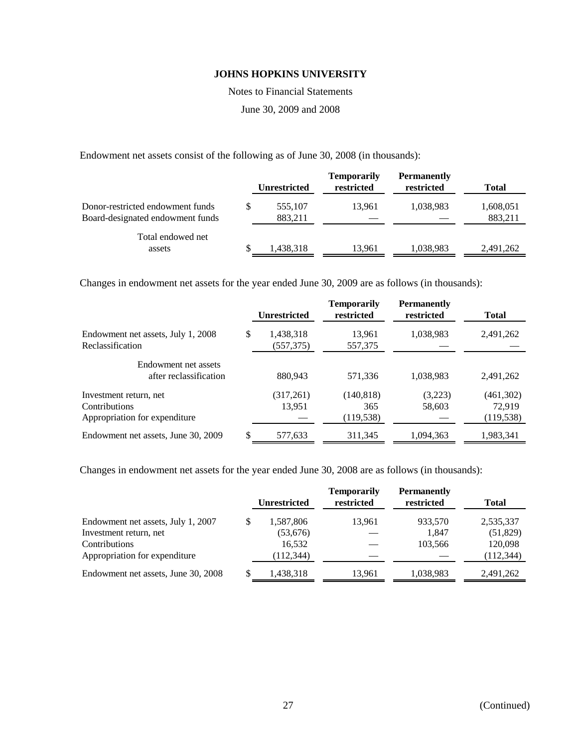Notes to Financial Statements

June 30, 2009 and 2008

Endowment net assets consist of the following as of June 30, 2008 (in thousands):

|                                                                      |   | <b>Unrestricted</b> | <b>Temporarily</b><br>restricted | <b>Permanently</b><br>restricted | <b>Total</b>         |
|----------------------------------------------------------------------|---|---------------------|----------------------------------|----------------------------------|----------------------|
| Donor-restricted endowment funds<br>Board-designated endowment funds | S | 555.107<br>883.211  | 13.961                           | 1,038,983                        | 1,608,051<br>883.211 |
| Total endowed net<br>assets                                          | S | 1,438,318           | 13,961                           | 1,038,983                        | 2,491,262            |

Changes in endowment net assets for the year ended June 30, 2009 are as follows (in thousands):

|                                                                          | <b>Unrestricted</b>           | <b>Temporarily</b><br>restricted | <b>Permanently</b><br>restricted | <b>Total</b>                      |
|--------------------------------------------------------------------------|-------------------------------|----------------------------------|----------------------------------|-----------------------------------|
| Endowment net assets, July 1, 2008<br>Reclassification                   | \$<br>1,438,318<br>(557, 375) | 13,961<br>557,375                | 1,038,983                        | 2,491,262                         |
| Endowment net assets<br>after reclassification                           | 880,943                       | 571,336                          | 1,038,983                        | 2,491,262                         |
| Investment return, net<br>Contributions<br>Appropriation for expenditure | (317,261)<br>13,951           | (140, 818)<br>365<br>(119, 538)  | (3,223)<br>58,603                | (461,302)<br>72,919<br>(119, 538) |
| Endowment net assets, June 30, 2009                                      | \$<br>577,633                 | 311,345                          | 1,094,363                        | 1,983,341                         |

Changes in endowment net assets for the year ended June 30, 2008 are as follows (in thousands):

|                                     |    | <b>Unrestricted</b> | <b>Temporarily</b><br>restricted | <b>Permanently</b><br>restricted | <b>Total</b> |
|-------------------------------------|----|---------------------|----------------------------------|----------------------------------|--------------|
| Endowment net assets, July 1, 2007  | S. | 1,587,806           | 13,961                           | 933,570                          | 2,535,337    |
| Investment return, net              |    | (53, 676)           |                                  | 1.847                            | (51, 829)    |
| <b>Contributions</b>                |    | 16,532              |                                  | 103.566                          | 120,098      |
| Appropriation for expenditure       |    | (112, 344)          |                                  |                                  | (112, 344)   |
| Endowment net assets, June 30, 2008 | S  | 1,438,318           | 13.961                           | 1,038,983                        | 2,491,262    |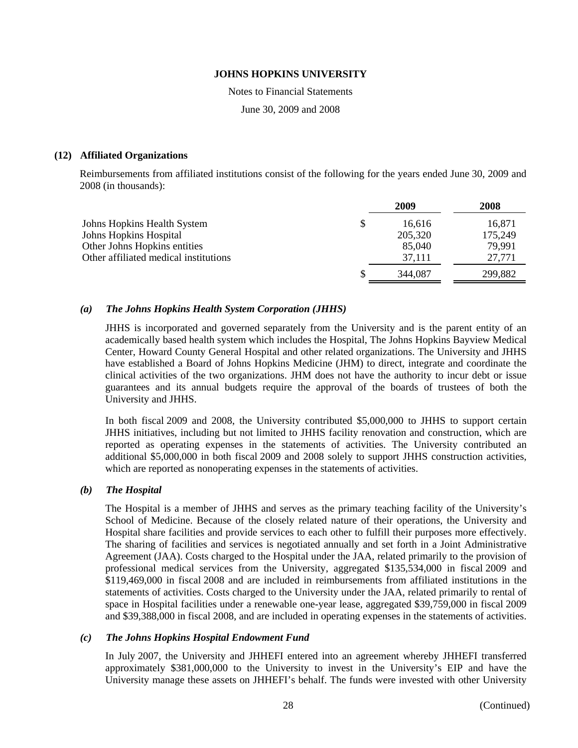Notes to Financial Statements

June 30, 2009 and 2008

## **(12) Affiliated Organizations**

Reimbursements from affiliated institutions consist of the following for the years ended June 30, 2009 and 2008 (in thousands):

|                                       | 2009         | 2008    |
|---------------------------------------|--------------|---------|
| Johns Hopkins Health System           | \$<br>16,616 | 16,871  |
| Johns Hopkins Hospital                | 205,320      | 175,249 |
| Other Johns Hopkins entities          | 85,040       | 79,991  |
| Other affiliated medical institutions | 37,111       | 27,771  |
|                                       | 344.087      | 299,882 |

## *(a) The Johns Hopkins Health System Corporation (JHHS)*

JHHS is incorporated and governed separately from the University and is the parent entity of an academically based health system which includes the Hospital, The Johns Hopkins Bayview Medical Center, Howard County General Hospital and other related organizations. The University and JHHS have established a Board of Johns Hopkins Medicine (JHM) to direct, integrate and coordinate the clinical activities of the two organizations. JHM does not have the authority to incur debt or issue guarantees and its annual budgets require the approval of the boards of trustees of both the University and JHHS.

In both fiscal 2009 and 2008, the University contributed \$5,000,000 to JHHS to support certain JHHS initiatives, including but not limited to JHHS facility renovation and construction, which are reported as operating expenses in the statements of activities. The University contributed an additional \$5,000,000 in both fiscal 2009 and 2008 solely to support JHHS construction activities, which are reported as nonoperating expenses in the statements of activities.

#### *(b) The Hospital*

The Hospital is a member of JHHS and serves as the primary teaching facility of the University's School of Medicine. Because of the closely related nature of their operations, the University and Hospital share facilities and provide services to each other to fulfill their purposes more effectively. The sharing of facilities and services is negotiated annually and set forth in a Joint Administrative Agreement (JAA). Costs charged to the Hospital under the JAA, related primarily to the provision of professional medical services from the University, aggregated \$135,534,000 in fiscal 2009 and \$119,469,000 in fiscal 2008 and are included in reimbursements from affiliated institutions in the statements of activities. Costs charged to the University under the JAA, related primarily to rental of space in Hospital facilities under a renewable one-year lease, aggregated \$39,759,000 in fiscal 2009 and \$39,388,000 in fiscal 2008, and are included in operating expenses in the statements of activities.

#### *(c) The Johns Hopkins Hospital Endowment Fund*

In July 2007, the University and JHHEFI entered into an agreement whereby JHHEFI transferred approximately \$381,000,000 to the University to invest in the University's EIP and have the University manage these assets on JHHEFI's behalf. The funds were invested with other University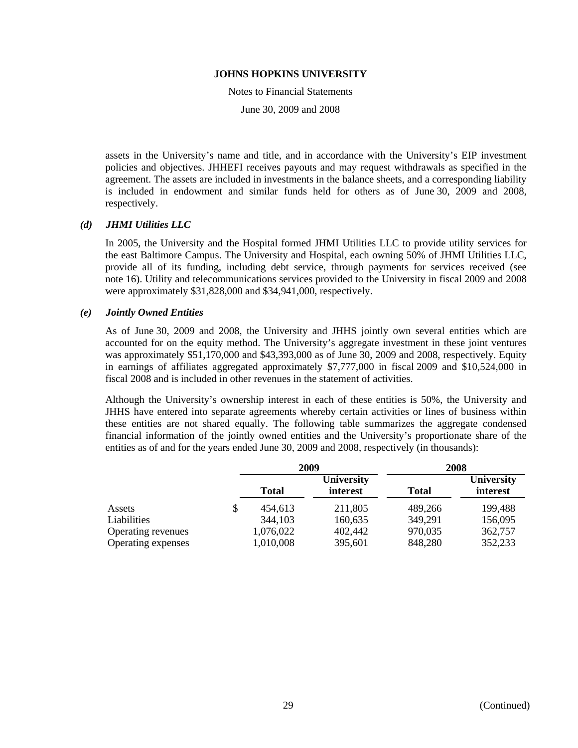Notes to Financial Statements

June 30, 2009 and 2008

assets in the University's name and title, and in accordance with the University's EIP investment policies and objectives. JHHEFI receives payouts and may request withdrawals as specified in the agreement. The assets are included in investments in the balance sheets, and a corresponding liability is included in endowment and similar funds held for others as of June 30, 2009 and 2008, respectively.

## *(d) JHMI Utilities LLC*

In 2005, the University and the Hospital formed JHMI Utilities LLC to provide utility services for the east Baltimore Campus. The University and Hospital, each owning 50% of JHMI Utilities LLC, provide all of its funding, including debt service, through payments for services received (see note 16). Utility and telecommunications services provided to the University in fiscal 2009 and 2008 were approximately \$31,828,000 and \$34,941,000, respectively.

## *(e) Jointly Owned Entities*

As of June 30, 2009 and 2008, the University and JHHS jointly own several entities which are accounted for on the equity method. The University's aggregate investment in these joint ventures was approximately \$51,170,000 and \$43,393,000 as of June 30, 2009 and 2008, respectively. Equity in earnings of affiliates aggregated approximately \$7,777,000 in fiscal 2009 and \$10,524,000 in fiscal 2008 and is included in other revenues in the statement of activities.

Although the University's ownership interest in each of these entities is 50%, the University and JHHS have entered into separate agreements whereby certain activities or lines of business within these entities are not shared equally. The following table summarizes the aggregate condensed financial information of the jointly owned entities and the University's proportionate share of the entities as of and for the years ended June 30, 2009 and 2008, respectively (in thousands):

|                    | 2009          |                               | 2008         |                               |
|--------------------|---------------|-------------------------------|--------------|-------------------------------|
|                    | <b>Total</b>  | <b>University</b><br>interest | <b>Total</b> | <b>University</b><br>interest |
| Assets             | \$<br>454,613 | 211,805                       | 489.266      | 199,488                       |
| Liabilities        | 344,103       | 160,635                       | 349,291      | 156,095                       |
| Operating revenues | 1,076,022     | 402,442                       | 970,035      | 362,757                       |
| Operating expenses | 1,010,008     | 395,601                       | 848,280      | 352,233                       |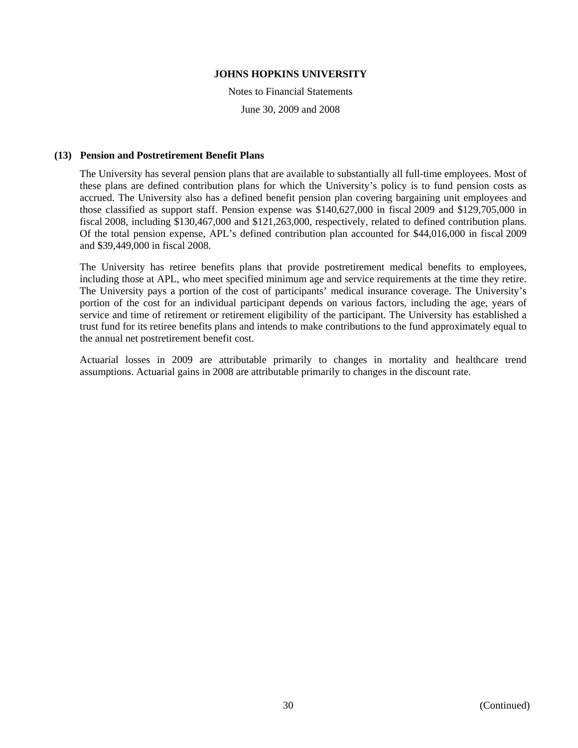Notes to Financial Statements June 30, 2009 and 2008

## **(13) Pension and Postretirement Benefit Plans**

The University has several pension plans that are available to substantially all full-time employees. Most of these plans are defined contribution plans for which the University's policy is to fund pension costs as accrued. The University also has a defined benefit pension plan covering bargaining unit employees and those classified as support staff. Pension expense was \$140,627,000 in fiscal 2009 and \$129,705,000 in fiscal 2008, including \$130,467,000 and \$121,263,000, respectively, related to defined contribution plans. Of the total pension expense, APL's defined contribution plan accounted for \$44,016,000 in fiscal 2009 and \$39,449,000 in fiscal 2008.

The University has retiree benefits plans that provide postretirement medical benefits to employees, including those at APL, who meet specified minimum age and service requirements at the time they retire. The University pays a portion of the cost of participants' medical insurance coverage. The University's portion of the cost for an individual participant depends on various factors, including the age, years of service and time of retirement or retirement eligibility of the participant. The University has established a trust fund for its retiree benefits plans and intends to make contributions to the fund approximately equal to the annual net postretirement benefit cost.

Actuarial losses in 2009 are attributable primarily to changes in mortality and healthcare trend assumptions. Actuarial gains in 2008 are attributable primarily to changes in the discount rate.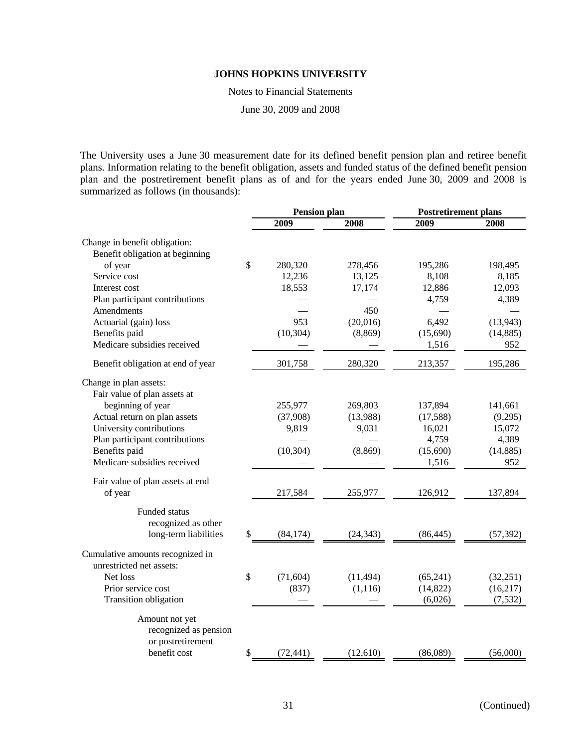Notes to Financial Statements

June 30, 2009 and 2008

The University uses a June 30 measurement date for its defined benefit pension plan and retiree benefit plans. Information relating to the benefit obligation, assets and funded status of the defined benefit pension plan and the postretirement benefit plans as of and for the years ended June 30, 2009 and 2008 is summarized as follows (in thousands):

|                                   | <b>Pension plan</b> |           | <b>Postretirement plans</b> |           |
|-----------------------------------|---------------------|-----------|-----------------------------|-----------|
|                                   | 2009                | 2008      | 2009                        | 2008      |
| Change in benefit obligation:     |                     |           |                             |           |
| Benefit obligation at beginning   |                     |           |                             |           |
| of year                           | \$<br>280,320       | 278,456   | 195,286                     | 198,495   |
| Service cost                      | 12,236              | 13,125    | 8,108                       | 8,185     |
| Interest cost                     | 18,553              | 17,174    | 12,886                      | 12,093    |
| Plan participant contributions    |                     |           | 4,759                       | 4,389     |
| Amendments                        |                     | 450       |                             |           |
| Actuarial (gain) loss             | 953                 | (20,016)  | 6,492                       | (13, 943) |
| Benefits paid                     | (10, 304)           | (8, 869)  | (15,690)                    | (14, 885) |
| Medicare subsidies received       |                     |           | 1,516                       | 952       |
|                                   |                     |           |                             |           |
| Benefit obligation at end of year | 301,758             | 280,320   | 213,357                     | 195,286   |
| Change in plan assets:            |                     |           |                             |           |
| Fair value of plan assets at      |                     |           |                             |           |
| beginning of year                 | 255,977             | 269,803   | 137,894                     | 141,661   |
| Actual return on plan assets      | (37,908)            | (13,988)  | (17, 588)                   | (9,295)   |
| University contributions          | 9,819               | 9,031     | 16,021                      | 15,072    |
| Plan participant contributions    |                     |           | 4,759                       | 4,389     |
| Benefits paid                     | (10, 304)           | (8, 869)  | (15,690)                    | (14, 885) |
| Medicare subsidies received       |                     |           | 1,516                       | 952       |
| Fair value of plan assets at end  |                     |           |                             |           |
| of year                           | 217,584             | 255,977   | 126,912                     | 137,894   |
| <b>Funded status</b>              |                     |           |                             |           |
| recognized as other               |                     |           |                             |           |
| long-term liabilities             | \$<br>(84, 174)     | (24, 343) | (86, 445)                   | (57, 392) |
| Cumulative amounts recognized in  |                     |           |                             |           |
| unrestricted net assets:          |                     |           |                             |           |
| Net loss                          | \$<br>(71, 604)     | (11, 494) | (65,241)                    | (32, 251) |
| Prior service cost                | (837)               | (1, 116)  | (14, 822)                   | (16,217)  |
| Transition obligation             |                     |           | (6,026)                     | (7,532)   |
|                                   |                     |           |                             |           |
| Amount not yet                    |                     |           |                             |           |
| recognized as pension             |                     |           |                             |           |
| or postretirement                 |                     |           |                             |           |
| benefit cost                      | \$<br>(72, 441)     | (12,610)  | (86,089)                    | (56,000)  |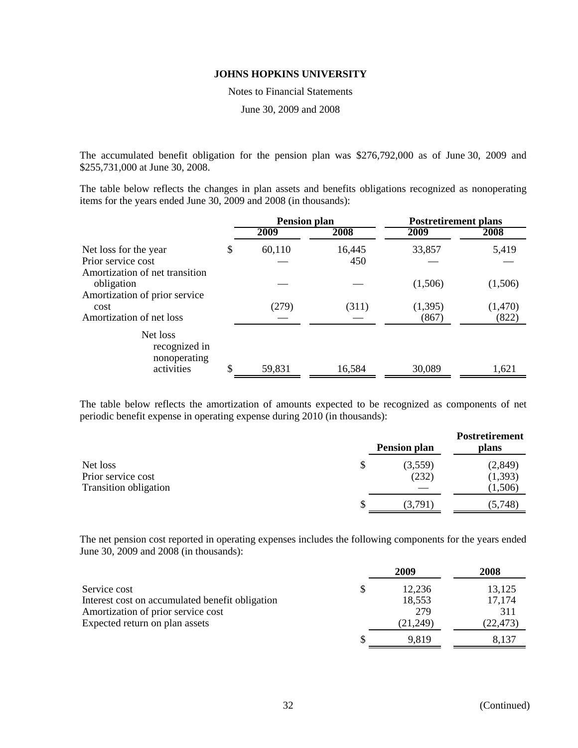Notes to Financial Statements

June 30, 2009 and 2008

The accumulated benefit obligation for the pension plan was \$276,792,000 as of June 30, 2009 and \$255,731,000 at June 30, 2008.

The table below reflects the changes in plan assets and benefits obligations recognized as nonoperating items for the years ended June 30, 2009 and 2008 (in thousands):

|                                                                               | <b>Pension plan</b> |               | <b>Postretirement plans</b> |                  |
|-------------------------------------------------------------------------------|---------------------|---------------|-----------------------------|------------------|
|                                                                               | 2009                | 2008          | 2009                        | 2008             |
| Net loss for the year<br>Prior service cost<br>Amortization of net transition | \$<br>60,110        | 16,445<br>450 | 33,857                      | 5,419            |
| obligation<br>Amortization of prior service                                   |                     |               | (1,506)                     | (1,506)          |
| cost<br>Amortization of net loss                                              | (279)               | (311)         | (1, 395)<br>(867)           | (1,470)<br>(822) |
| Net loss<br>recognized in<br>nonoperating<br>activities                       | \$<br>59,831        | 16,584        | 30,089                      | 1,621            |
|                                                                               |                     |               |                             |                  |

The table below reflects the amortization of amounts expected to be recognized as components of net periodic benefit expense in operating expense during 2010 (in thousands):

|                              | <b>Pension plan</b> | <b>Postretirement</b><br>plans |
|------------------------------|---------------------|--------------------------------|
| Net loss                     | \$<br>(3,559)       | (2, 849)                       |
| Prior service cost           | (232)               | (1, 393)                       |
| <b>Transition obligation</b> |                     | (1,506)                        |
|                              | 3.791               | (5,748)                        |

The net pension cost reported in operating expenses includes the following components for the years ended June 30, 2009 and 2008 (in thousands):

|                                                 | 2009     | 2008      |
|-------------------------------------------------|----------|-----------|
| Service cost                                    | 12.236   | 13,125    |
| Interest cost on accumulated benefit obligation | 18,553   | 17,174    |
| Amortization of prior service cost              | 279      | 311       |
| Expected return on plan assets                  | (21,249) | (22, 473) |
|                                                 | 9,819    | 8.137     |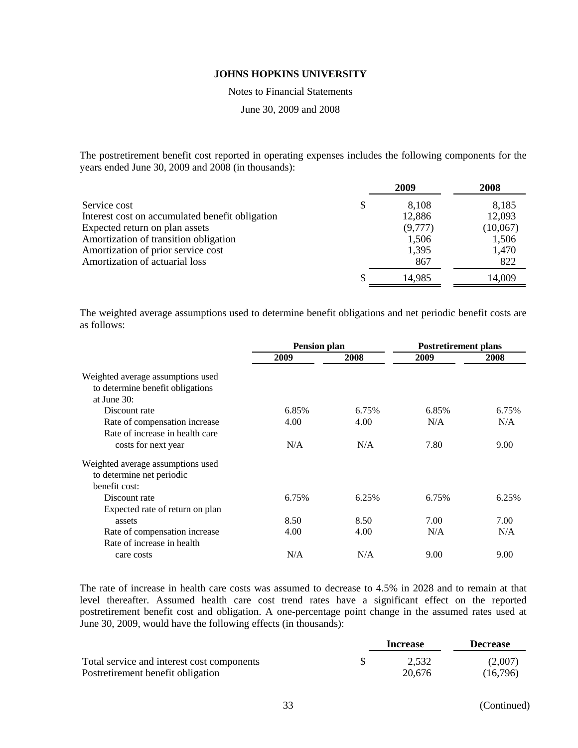Notes to Financial Statements

June 30, 2009 and 2008

The postretirement benefit cost reported in operating expenses includes the following components for the years ended June 30, 2009 and 2008 (in thousands):

|                                                 | 2009        | 2008     |
|-------------------------------------------------|-------------|----------|
| Service cost                                    | \$<br>8,108 | 8,185    |
| Interest cost on accumulated benefit obligation | 12,886      | 12,093   |
| Expected return on plan assets                  | (9,777)     | (10,067) |
| Amortization of transition obligation           | 1,506       | 1,506    |
| Amortization of prior service cost              | 1,395       | 1,470    |
| Amortization of actuarial loss                  | 867         | 822      |
|                                                 | 14,985      | 14,009   |

The weighted average assumptions used to determine benefit obligations and net periodic benefit costs are as follows:

|                                   | <b>Pension plan</b> |       | <b>Postretirement plans</b> |       |
|-----------------------------------|---------------------|-------|-----------------------------|-------|
|                                   | 2009                | 2008  | 2009                        | 2008  |
| Weighted average assumptions used |                     |       |                             |       |
| to determine benefit obligations  |                     |       |                             |       |
| at June $30$ :                    |                     |       |                             |       |
| Discount rate                     | 6.85%               | 6.75% | 6.85%                       | 6.75% |
| Rate of compensation increase     | 4.00                | 4.00  | N/A                         | N/A   |
| Rate of increase in health care   |                     |       |                             |       |
| costs for next year               | N/A                 | N/A   | 7.80                        | 9.00  |
| Weighted average assumptions used |                     |       |                             |       |
| to determine net periodic         |                     |       |                             |       |
| benefit cost:                     |                     |       |                             |       |
| Discount rate                     | 6.75%               | 6.25% | 6.75%                       | 6.25% |
| Expected rate of return on plan   |                     |       |                             |       |
| assets                            | 8.50                | 8.50  | 7.00                        | 7.00  |
| Rate of compensation increase     | 4.00                | 4.00  | N/A                         | N/A   |
| Rate of increase in health        |                     |       |                             |       |
| care costs                        | N/A                 | N/A   | 9.00                        | 9.00  |

The rate of increase in health care costs was assumed to decrease to 4.5% in 2028 and to remain at that level thereafter. Assumed health care cost trend rates have a significant effect on the reported postretirement benefit cost and obligation. A one-percentage point change in the assumed rates used at June 30, 2009, would have the following effects (in thousands):

|                                            | Increase | <b>Decrease</b> |
|--------------------------------------------|----------|-----------------|
| Total service and interest cost components | 2.532    | (2,007)         |
| Postretirement benefit obligation          | 20.676   | (16,796)        |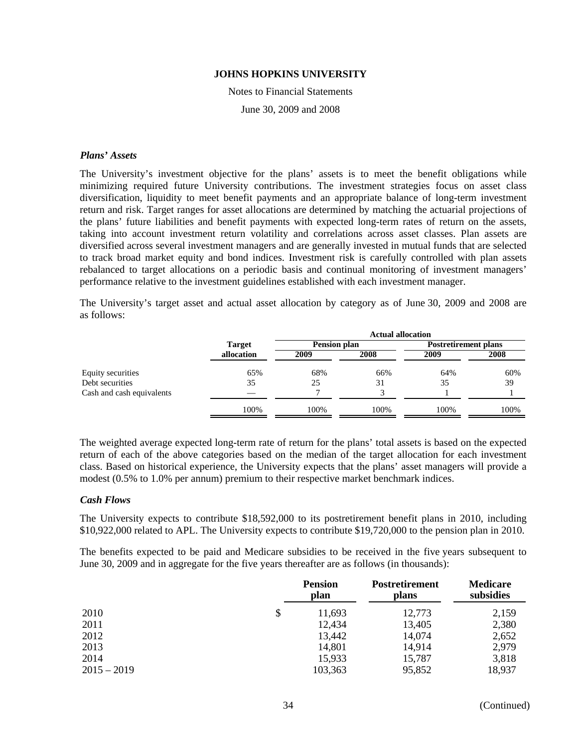Notes to Financial Statements June 30, 2009 and 2008

## *Plans' Assets*

The University's investment objective for the plans' assets is to meet the benefit obligations while minimizing required future University contributions. The investment strategies focus on asset class diversification, liquidity to meet benefit payments and an appropriate balance of long-term investment return and risk. Target ranges for asset allocations are determined by matching the actuarial projections of the plans' future liabilities and benefit payments with expected long-term rates of return on the assets, taking into account investment return volatility and correlations across asset classes. Plan assets are diversified across several investment managers and are generally invested in mutual funds that are selected to track broad market equity and bond indices. Investment risk is carefully controlled with plan assets rebalanced to target allocations on a periodic basis and continual monitoring of investment managers' performance relative to the investment guidelines established with each investment manager.

The University's target asset and actual asset allocation by category as of June 30, 2009 and 2008 are as follows:

|                           |               | <b>Actual allocation</b> |      |                             |      |  |
|---------------------------|---------------|--------------------------|------|-----------------------------|------|--|
|                           | <b>Target</b> | <b>Pension plan</b>      |      | <b>Postretirement plans</b> |      |  |
|                           | allocation    | 2009                     | 2008 | 2009                        | 2008 |  |
| Equity securities         | 65%           | 68%                      | 66%  | 64%                         | 60%  |  |
| Debt securities           | 35            | 25                       | 31   | 35                          | 39   |  |
| Cash and cash equivalents |               |                          |      |                             |      |  |
|                           | 100%          | 100%                     | 100% | 100%                        | 100% |  |

The weighted average expected long-term rate of return for the plans' total assets is based on the expected return of each of the above categories based on the median of the target allocation for each investment class. Based on historical experience, the University expects that the plans' asset managers will provide a modest (0.5% to 1.0% per annum) premium to their respective market benchmark indices.

#### *Cash Flows*

The University expects to contribute \$18,592,000 to its postretirement benefit plans in 2010, including \$10,922,000 related to APL. The University expects to contribute \$19,720,000 to the pension plan in 2010.

The benefits expected to be paid and Medicare subsidies to be received in the five years subsequent to June 30, 2009 and in aggregate for the five years thereafter are as follows (in thousands):

|               | <b>Pension</b><br>plan | <b>Postretirement</b><br>plans | <b>Medicare</b><br>subsidies |
|---------------|------------------------|--------------------------------|------------------------------|
| 2010          | \$<br>11,693           | 12,773                         | 2,159                        |
| 2011          | 12,434                 | 13,405                         | 2,380                        |
| 2012          | 13,442                 | 14,074                         | 2,652                        |
| 2013          | 14,801                 | 14,914                         | 2,979                        |
| 2014          | 15,933                 | 15,787                         | 3,818                        |
| $2015 - 2019$ | 103,363                | 95,852                         | 18,937                       |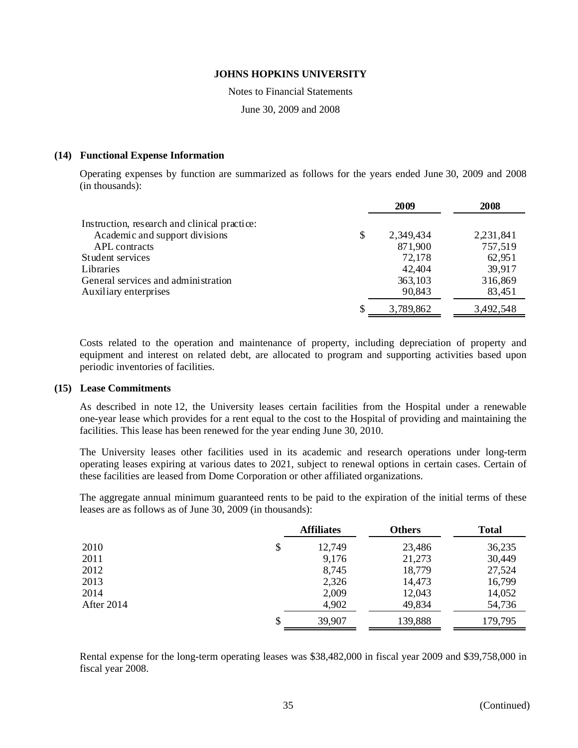Notes to Financial Statements

June 30, 2009 and 2008

## **(14) Functional Expense Information**

Operating expenses by function are summarized as follows for the years ended June 30, 2009 and 2008 (in thousands):

|                                              | 2009            | 2008      |
|----------------------------------------------|-----------------|-----------|
| Instruction, research and clinical practice: |                 |           |
| Academic and support divisions               | \$<br>2,349,434 | 2,231,841 |
| APL contracts                                | 871,900         | 757,519   |
| Student services                             | 72,178          | 62,951    |
| Libraries                                    | 42,404          | 39,917    |
| General services and administration          | 363,103         | 316,869   |
| Auxiliary enterprises                        | 90,843          | 83,451    |
|                                              | 3,789,862       | 3,492,548 |

Costs related to the operation and maintenance of property, including depreciation of property and equipment and interest on related debt, are allocated to program and supporting activities based upon periodic inventories of facilities.

## **(15) Lease Commitments**

As described in note 12, the University leases certain facilities from the Hospital under a renewable one-year lease which provides for a rent equal to the cost to the Hospital of providing and maintaining the facilities. This lease has been renewed for the year ending June 30, 2010.

The University leases other facilities used in its academic and research operations under long-term operating leases expiring at various dates to 2021, subject to renewal options in certain cases. Certain of these facilities are leased from Dome Corporation or other affiliated organizations.

The aggregate annual minimum guaranteed rents to be paid to the expiration of the initial terms of these leases are as follows as of June 30, 2009 (in thousands):

|            | <b>Affiliates</b> | <b>Others</b> | <b>Total</b> |
|------------|-------------------|---------------|--------------|
| 2010       | \$<br>12,749      | 23,486        | 36,235       |
| 2011       | 9,176             | 21,273        | 30,449       |
| 2012       | 8,745             | 18,779        | 27,524       |
| 2013       | 2,326             | 14,473        | 16,799       |
| 2014       | 2,009             | 12,043        | 14,052       |
| After 2014 | 4,902             | 49,834        | 54,736       |
|            | \$<br>39,907      | 139,888       | 179,795      |

Rental expense for the long-term operating leases was \$38,482,000 in fiscal year 2009 and \$39,758,000 in fiscal year 2008.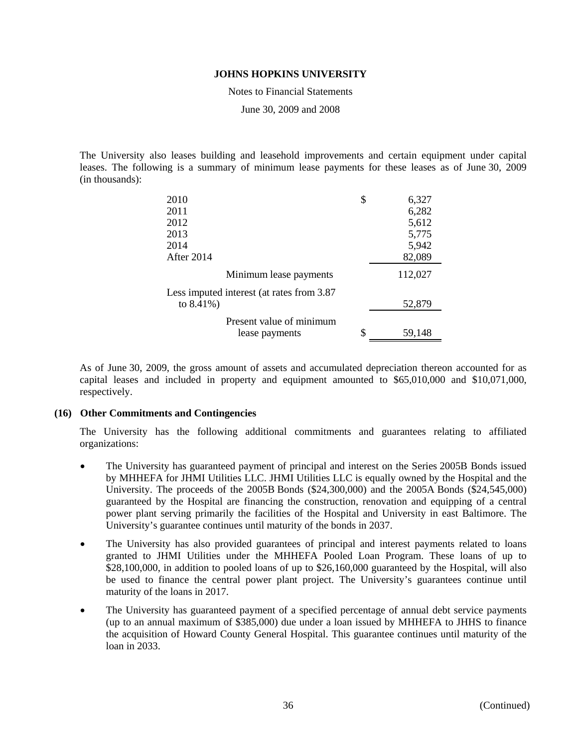Notes to Financial Statements

June 30, 2009 and 2008

The University also leases building and leasehold improvements and certain equipment under capital leases. The following is a summary of minimum lease payments for these leases as of June 30, 2009 (in thousands):

| 2010                                       | \$<br>6,327  |
|--------------------------------------------|--------------|
| 2011                                       | 6,282        |
| 2012                                       | 5,612        |
| 2013                                       | 5,775        |
| 2014                                       | 5,942        |
| After 2014                                 | 82,089       |
| Minimum lease payments                     | 112,027      |
| Less imputed interest (at rates from 3.87) |              |
| to $8.41\%$ )                              | 52,879       |
| Present value of minimum                   |              |
| lease payments                             | \$<br>59,148 |

As of June 30, 2009, the gross amount of assets and accumulated depreciation thereon accounted for as capital leases and included in property and equipment amounted to \$65,010,000 and \$10,071,000, respectively.

## **(16) Other Commitments and Contingencies**

The University has the following additional commitments and guarantees relating to affiliated organizations:

- The University has guaranteed payment of principal and interest on the Series 2005B Bonds issued by MHHEFA for JHMI Utilities LLC. JHMI Utilities LLC is equally owned by the Hospital and the University. The proceeds of the 2005B Bonds (\$24,300,000) and the 2005A Bonds (\$24,545,000) guaranteed by the Hospital are financing the construction, renovation and equipping of a central power plant serving primarily the facilities of the Hospital and University in east Baltimore. The University's guarantee continues until maturity of the bonds in 2037.
- The University has also provided guarantees of principal and interest payments related to loans granted to JHMI Utilities under the MHHEFA Pooled Loan Program. These loans of up to \$28,100,000, in addition to pooled loans of up to \$26,160,000 guaranteed by the Hospital, will also be used to finance the central power plant project. The University's guarantees continue until maturity of the loans in 2017.
- The University has guaranteed payment of a specified percentage of annual debt service payments (up to an annual maximum of \$385,000) due under a loan issued by MHHEFA to JHHS to finance the acquisition of Howard County General Hospital. This guarantee continues until maturity of the loan in 2033.